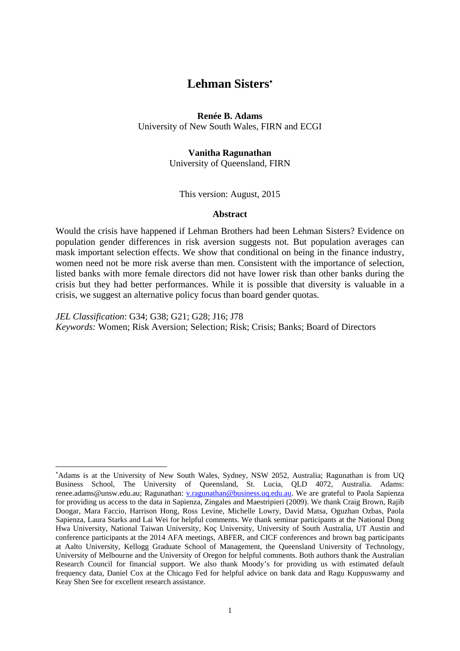# **Lehman Sisters**

#### **Renée B. Adams**

University of New South Wales, FIRN and ECGI

#### **Vanitha Ragunathan**

University of Queensland, FIRN

This version: August, 2015

#### **Abstract**

Would the crisis have happened if Lehman Brothers had been Lehman Sisters? Evidence on population gender differences in risk aversion suggests not. But population averages can mask important selection effects. We show that conditional on being in the finance industry, women need not be more risk averse than men. Consistent with the importance of selection, listed banks with more female directors did not have lower risk than other banks during the crisis but they had better performances. While it is possible that diversity is valuable in a crisis, we suggest an alternative policy focus than board gender quotas.

*JEL Classification*: G34; G38; G21; G28; J16; J78 *Keywords:* Women; Risk Aversion; Selection; Risk; Crisis; Banks; Board of Directors

-

Adams is at the University of New South Wales, Sydney, NSW 2052, Australia; Ragunathan is from UQ Business School, The University of Queensland, St. Lucia, QLD 4072, Australia. Adams: renee.adams@unsw.edu.au; Ragunathan: v.ragunathan@business.uq.edu.au. We are grateful to Paola Sapienza for providing us access to the data in Sapienza, Zingales and Maestripieri (2009). We thank Craig Brown, Rajib Doogar, Mara Faccio, Harrison Hong, Ross Levine, Michelle Lowry, David Matsa, Oguzhan Ozbas, Paola Sapienza, Laura Starks and Lai Wei for helpful comments. We thank seminar participants at the National Dong Hwa University, National Taiwan University, Koç University, University of South Australia, UT Austin and conference participants at the 2014 AFA meetings, ABFER, and CICF conferences and brown bag participants at Aalto University, Kellogg Graduate School of Management, the Queensland University of Technology, University of Melbourne and the University of Oregon for helpful comments. Both authors thank the Australian Research Council for financial support. We also thank Moody's for providing us with estimated default frequency data, Daniel Cox at the Chicago Fed for helpful advice on bank data and Ragu Kuppuswamy and Keay Shen See for excellent research assistance.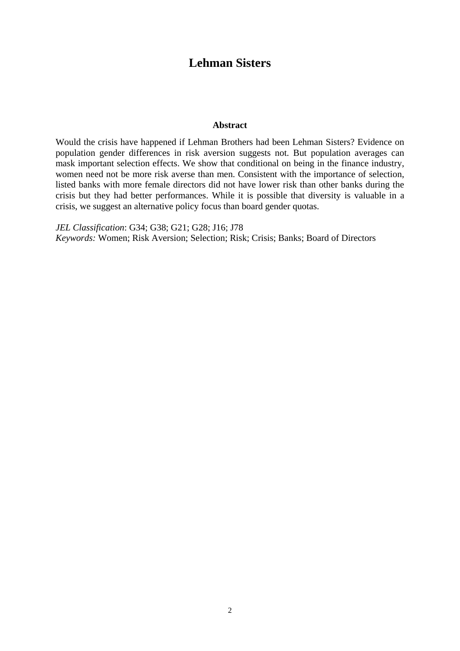# **Lehman Sisters**

#### **Abstract**

Would the crisis have happened if Lehman Brothers had been Lehman Sisters? Evidence on population gender differences in risk aversion suggests not. But population averages can mask important selection effects. We show that conditional on being in the finance industry, women need not be more risk averse than men. Consistent with the importance of selection, listed banks with more female directors did not have lower risk than other banks during the crisis but they had better performances. While it is possible that diversity is valuable in a crisis, we suggest an alternative policy focus than board gender quotas.

*JEL Classification*: G34; G38; G21; G28; J16; J78 *Keywords:* Women; Risk Aversion; Selection; Risk; Crisis; Banks; Board of Directors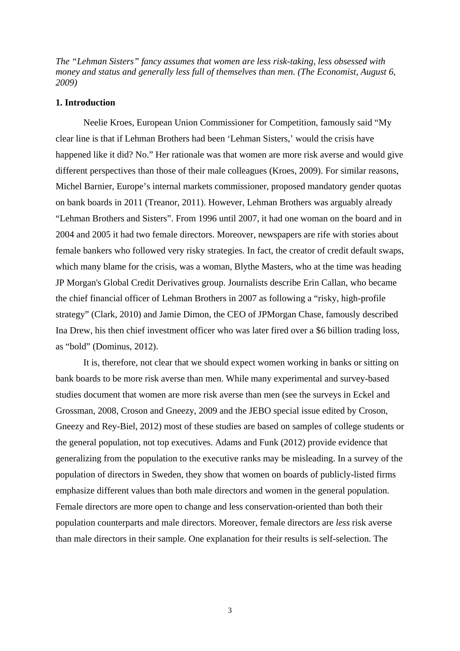*The "Lehman Sisters" fancy assumes that women are less risk-taking, less obsessed with money and status and generally less full of themselves than men. (The Economist, August 6, 2009)* 

# **1. Introduction**

Neelie Kroes, European Union Commissioner for Competition, famously said "My clear line is that if Lehman Brothers had been 'Lehman Sisters,' would the crisis have happened like it did? No." Her rationale was that women are more risk averse and would give different perspectives than those of their male colleagues (Kroes, 2009). For similar reasons, Michel Barnier, Europe's internal markets commissioner, proposed mandatory gender quotas on bank boards in 2011 (Treanor, 2011). However, Lehman Brothers was arguably already "Lehman Brothers and Sisters". From 1996 until 2007, it had one woman on the board and in 2004 and 2005 it had two female directors. Moreover, newspapers are rife with stories about female bankers who followed very risky strategies. In fact, the creator of credit default swaps, which many blame for the crisis, was a woman, Blythe Masters, who at the time was heading JP Morgan's Global Credit Derivatives group. Journalists describe Erin Callan, who became the chief financial officer of Lehman Brothers in 2007 as following a "risky, high-profile strategy" (Clark, 2010) and Jamie Dimon, the CEO of JPMorgan Chase, famously described Ina Drew, his then chief investment officer who was later fired over a \$6 billion trading loss, as "bold" (Dominus, 2012).

It is, therefore, not clear that we should expect women working in banks or sitting on bank boards to be more risk averse than men. While many experimental and survey-based studies document that women are more risk averse than men (see the surveys in Eckel and Grossman, 2008, Croson and Gneezy, 2009 and the JEBO special issue edited by Croson, Gneezy and Rey-Biel, 2012) most of these studies are based on samples of college students or the general population, not top executives. Adams and Funk (2012) provide evidence that generalizing from the population to the executive ranks may be misleading. In a survey of the population of directors in Sweden, they show that women on boards of publicly-listed firms emphasize different values than both male directors and women in the general population. Female directors are more open to change and less conservation-oriented than both their population counterparts and male directors. Moreover, female directors are *less* risk averse than male directors in their sample. One explanation for their results is self-selection. The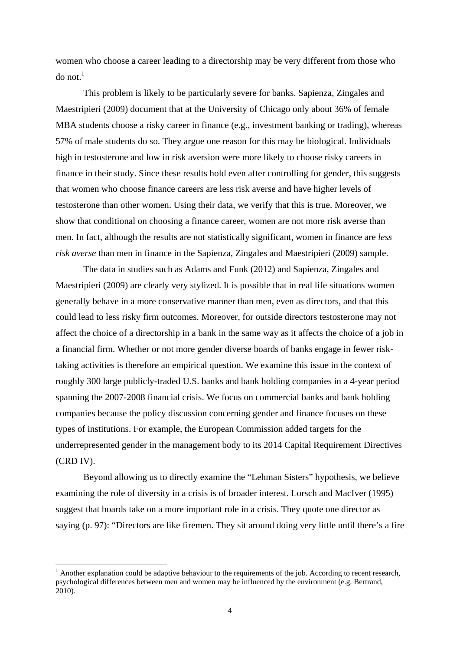women who choose a career leading to a directorship may be very different from those who  $d$ o not $^1$ 

This problem is likely to be particularly severe for banks. Sapienza, Zingales and Maestripieri (2009) document that at the University of Chicago only about 36% of female MBA students choose a risky career in finance (e.g., investment banking or trading), whereas 57% of male students do so. They argue one reason for this may be biological. Individuals high in testosterone and low in risk aversion were more likely to choose risky careers in finance in their study. Since these results hold even after controlling for gender, this suggests that women who choose finance careers are less risk averse and have higher levels of testosterone than other women. Using their data, we verify that this is true. Moreover, we show that conditional on choosing a finance career, women are not more risk averse than men. In fact, although the results are not statistically significant, women in finance are *less risk averse* than men in finance in the Sapienza, Zingales and Maestripieri (2009) sample.

The data in studies such as Adams and Funk (2012) and Sapienza, Zingales and Maestripieri (2009) are clearly very stylized. It is possible that in real life situations women generally behave in a more conservative manner than men, even as directors, and that this could lead to less risky firm outcomes. Moreover, for outside directors testosterone may not affect the choice of a directorship in a bank in the same way as it affects the choice of a job in a financial firm. Whether or not more gender diverse boards of banks engage in fewer risktaking activities is therefore an empirical question. We examine this issue in the context of roughly 300 large publicly-traded U.S. banks and bank holding companies in a 4-year period spanning the 2007-2008 financial crisis. We focus on commercial banks and bank holding companies because the policy discussion concerning gender and finance focuses on these types of institutions. For example, the European Commission added targets for the underrepresented gender in the management body to its 2014 Capital Requirement Directives (CRD IV).

Beyond allowing us to directly examine the "Lehman Sisters" hypothesis, we believe examining the role of diversity in a crisis is of broader interest. Lorsch and MacIver (1995) suggest that boards take on a more important role in a crisis. They quote one director as saying (p. 97): "Directors are like firemen. They sit around doing very little until there's a fire

-

 $<sup>1</sup>$  Another explanation could be adaptive behaviour to the requirements of the job. According to recent research,</sup> psychological differences between men and women may be influenced by the environment (e.g. Bertrand, 2010).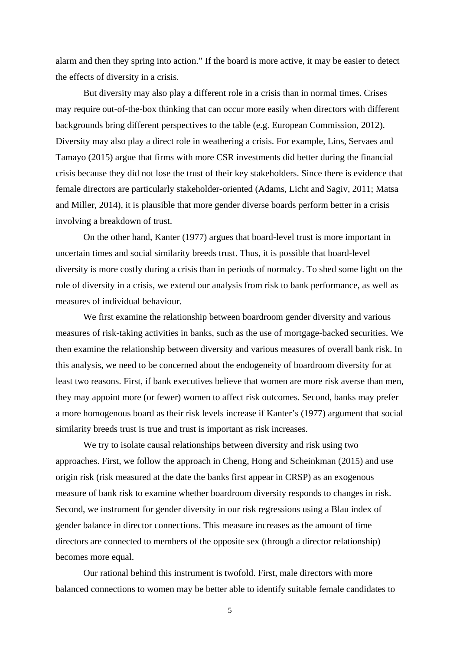alarm and then they spring into action." If the board is more active, it may be easier to detect the effects of diversity in a crisis.

But diversity may also play a different role in a crisis than in normal times. Crises may require out-of-the-box thinking that can occur more easily when directors with different backgrounds bring different perspectives to the table (e.g. European Commission, 2012). Diversity may also play a direct role in weathering a crisis. For example, Lins, Servaes and Tamayo (2015) argue that firms with more CSR investments did better during the financial crisis because they did not lose the trust of their key stakeholders. Since there is evidence that female directors are particularly stakeholder-oriented (Adams, Licht and Sagiv, 2011; Matsa and Miller, 2014), it is plausible that more gender diverse boards perform better in a crisis involving a breakdown of trust.

On the other hand, Kanter (1977) argues that board-level trust is more important in uncertain times and social similarity breeds trust. Thus, it is possible that board-level diversity is more costly during a crisis than in periods of normalcy. To shed some light on the role of diversity in a crisis, we extend our analysis from risk to bank performance, as well as measures of individual behaviour.

We first examine the relationship between boardroom gender diversity and various measures of risk-taking activities in banks, such as the use of mortgage-backed securities. We then examine the relationship between diversity and various measures of overall bank risk. In this analysis, we need to be concerned about the endogeneity of boardroom diversity for at least two reasons. First, if bank executives believe that women are more risk averse than men, they may appoint more (or fewer) women to affect risk outcomes. Second, banks may prefer a more homogenous board as their risk levels increase if Kanter's (1977) argument that social similarity breeds trust is true and trust is important as risk increases.

We try to isolate causal relationships between diversity and risk using two approaches. First, we follow the approach in Cheng, Hong and Scheinkman (2015) and use origin risk (risk measured at the date the banks first appear in CRSP) as an exogenous measure of bank risk to examine whether boardroom diversity responds to changes in risk. Second, we instrument for gender diversity in our risk regressions using a Blau index of gender balance in director connections. This measure increases as the amount of time directors are connected to members of the opposite sex (through a director relationship) becomes more equal.

Our rational behind this instrument is twofold. First, male directors with more balanced connections to women may be better able to identify suitable female candidates to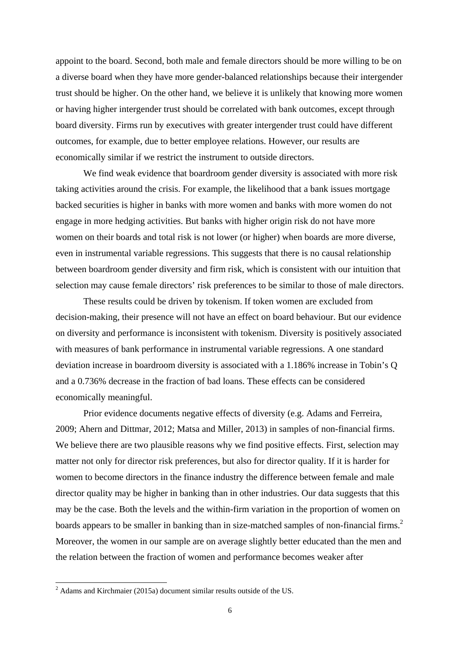appoint to the board. Second, both male and female directors should be more willing to be on a diverse board when they have more gender-balanced relationships because their intergender trust should be higher. On the other hand, we believe it is unlikely that knowing more women or having higher intergender trust should be correlated with bank outcomes, except through board diversity. Firms run by executives with greater intergender trust could have different outcomes, for example, due to better employee relations. However, our results are economically similar if we restrict the instrument to outside directors.

We find weak evidence that boardroom gender diversity is associated with more risk taking activities around the crisis. For example, the likelihood that a bank issues mortgage backed securities is higher in banks with more women and banks with more women do not engage in more hedging activities. But banks with higher origin risk do not have more women on their boards and total risk is not lower (or higher) when boards are more diverse, even in instrumental variable regressions. This suggests that there is no causal relationship between boardroom gender diversity and firm risk, which is consistent with our intuition that selection may cause female directors' risk preferences to be similar to those of male directors.

These results could be driven by tokenism. If token women are excluded from decision-making, their presence will not have an effect on board behaviour. But our evidence on diversity and performance is inconsistent with tokenism. Diversity is positively associated with measures of bank performance in instrumental variable regressions. A one standard deviation increase in boardroom diversity is associated with a 1.186% increase in Tobin's Q and a 0.736% decrease in the fraction of bad loans. These effects can be considered economically meaningful.

Prior evidence documents negative effects of diversity (e.g. Adams and Ferreira, 2009; Ahern and Dittmar, 2012; Matsa and Miller, 2013) in samples of non-financial firms. We believe there are two plausible reasons why we find positive effects. First, selection may matter not only for director risk preferences, but also for director quality. If it is harder for women to become directors in the finance industry the difference between female and male director quality may be higher in banking than in other industries. Our data suggests that this may be the case. Both the levels and the within-firm variation in the proportion of women on boards appears to be smaller in banking than in size-matched samples of non-financial firms.<sup>2</sup> Moreover, the women in our sample are on average slightly better educated than the men and the relation between the fraction of women and performance becomes weaker after

<sup>&</sup>lt;sup>2</sup> Adams and Kirchmaier (2015a) document similar results outside of the US.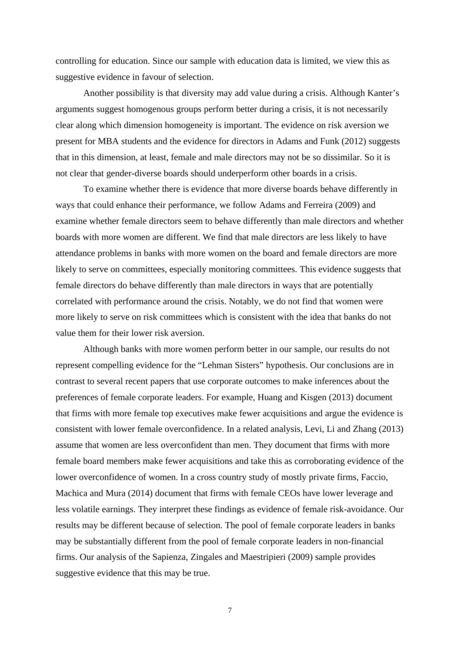controlling for education. Since our sample with education data is limited, we view this as suggestive evidence in favour of selection.

Another possibility is that diversity may add value during a crisis. Although Kanter's arguments suggest homogenous groups perform better during a crisis, it is not necessarily clear along which dimension homogeneity is important. The evidence on risk aversion we present for MBA students and the evidence for directors in Adams and Funk (2012) suggests that in this dimension, at least, female and male directors may not be so dissimilar. So it is not clear that gender-diverse boards should underperform other boards in a crisis.

To examine whether there is evidence that more diverse boards behave differently in ways that could enhance their performance, we follow Adams and Ferreira (2009) and examine whether female directors seem to behave differently than male directors and whether boards with more women are different. We find that male directors are less likely to have attendance problems in banks with more women on the board and female directors are more likely to serve on committees, especially monitoring committees. This evidence suggests that female directors do behave differently than male directors in ways that are potentially correlated with performance around the crisis. Notably, we do not find that women were more likely to serve on risk committees which is consistent with the idea that banks do not value them for their lower risk aversion.

Although banks with more women perform better in our sample, our results do not represent compelling evidence for the "Lehman Sisters" hypothesis. Our conclusions are in contrast to several recent papers that use corporate outcomes to make inferences about the preferences of female corporate leaders. For example, Huang and Kisgen (2013) document that firms with more female top executives make fewer acquisitions and argue the evidence is consistent with lower female overconfidence. In a related analysis, Levi, Li and Zhang (2013) assume that women are less overconfident than men. They document that firms with more female board members make fewer acquisitions and take this as corroborating evidence of the lower overconfidence of women. In a cross country study of mostly private firms, Faccio, Machica and Mura (2014) document that firms with female CEOs have lower leverage and less volatile earnings. They interpret these findings as evidence of female risk-avoidance. Our results may be different because of selection. The pool of female corporate leaders in banks may be substantially different from the pool of female corporate leaders in non-financial firms. Our analysis of the Sapienza, Zingales and Maestripieri (2009) sample provides suggestive evidence that this may be true.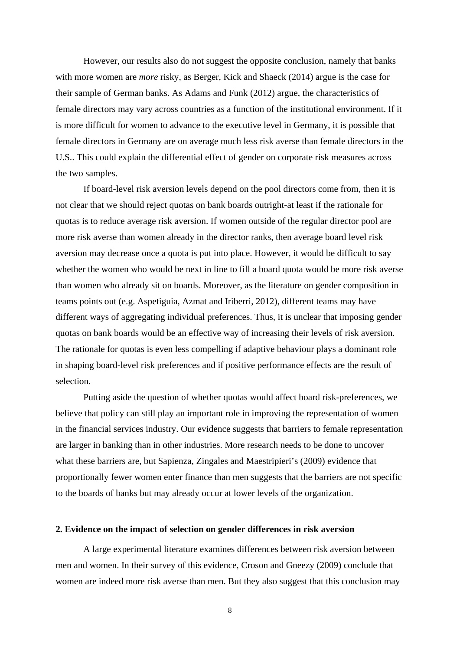However, our results also do not suggest the opposite conclusion, namely that banks with more women are *more* risky, as Berger, Kick and Shaeck (2014) argue is the case for their sample of German banks. As Adams and Funk (2012) argue, the characteristics of female directors may vary across countries as a function of the institutional environment. If it is more difficult for women to advance to the executive level in Germany, it is possible that female directors in Germany are on average much less risk averse than female directors in the U.S.. This could explain the differential effect of gender on corporate risk measures across the two samples.

If board-level risk aversion levels depend on the pool directors come from, then it is not clear that we should reject quotas on bank boards outright-at least if the rationale for quotas is to reduce average risk aversion. If women outside of the regular director pool are more risk averse than women already in the director ranks, then average board level risk aversion may decrease once a quota is put into place. However, it would be difficult to say whether the women who would be next in line to fill a board quota would be more risk averse than women who already sit on boards. Moreover, as the literature on gender composition in teams points out (e.g. Aspetiguia, Azmat and Iriberri, 2012), different teams may have different ways of aggregating individual preferences. Thus, it is unclear that imposing gender quotas on bank boards would be an effective way of increasing their levels of risk aversion. The rationale for quotas is even less compelling if adaptive behaviour plays a dominant role in shaping board-level risk preferences and if positive performance effects are the result of selection.

Putting aside the question of whether quotas would affect board risk-preferences, we believe that policy can still play an important role in improving the representation of women in the financial services industry. Our evidence suggests that barriers to female representation are larger in banking than in other industries. More research needs to be done to uncover what these barriers are, but Sapienza, Zingales and Maestripieri's (2009) evidence that proportionally fewer women enter finance than men suggests that the barriers are not specific to the boards of banks but may already occur at lower levels of the organization.

#### **2. Evidence on the impact of selection on gender differences in risk aversion**

A large experimental literature examines differences between risk aversion between men and women. In their survey of this evidence, Croson and Gneezy (2009) conclude that women are indeed more risk averse than men. But they also suggest that this conclusion may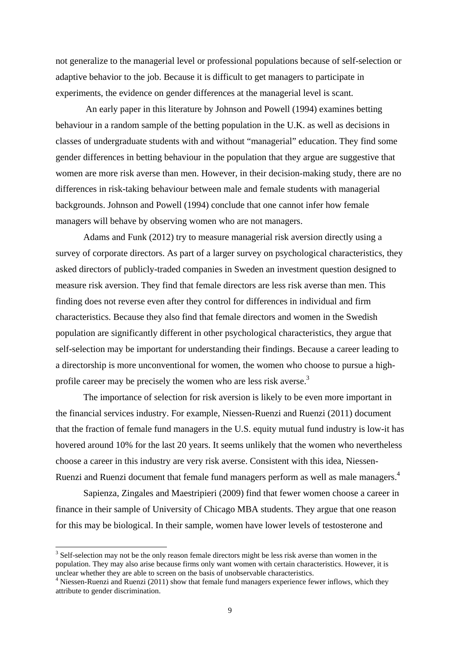not generalize to the managerial level or professional populations because of self-selection or adaptive behavior to the job. Because it is difficult to get managers to participate in experiments, the evidence on gender differences at the managerial level is scant.

 An early paper in this literature by Johnson and Powell (1994) examines betting behaviour in a random sample of the betting population in the U.K. as well as decisions in classes of undergraduate students with and without "managerial" education. They find some gender differences in betting behaviour in the population that they argue are suggestive that women are more risk averse than men. However, in their decision-making study, there are no differences in risk-taking behaviour between male and female students with managerial backgrounds. Johnson and Powell (1994) conclude that one cannot infer how female managers will behave by observing women who are not managers.

Adams and Funk (2012) try to measure managerial risk aversion directly using a survey of corporate directors. As part of a larger survey on psychological characteristics, they asked directors of publicly-traded companies in Sweden an investment question designed to measure risk aversion. They find that female directors are less risk averse than men. This finding does not reverse even after they control for differences in individual and firm characteristics. Because they also find that female directors and women in the Swedish population are significantly different in other psychological characteristics, they argue that self-selection may be important for understanding their findings. Because a career leading to a directorship is more unconventional for women, the women who choose to pursue a highprofile career may be precisely the women who are less risk averse.<sup>3</sup>

The importance of selection for risk aversion is likely to be even more important in the financial services industry. For example, Niessen-Ruenzi and Ruenzi (2011) document that the fraction of female fund managers in the U.S. equity mutual fund industry is low-it has hovered around 10% for the last 20 years. It seems unlikely that the women who nevertheless choose a career in this industry are very risk averse. Consistent with this idea, Niessen-Ruenzi and Ruenzi document that female fund managers perform as well as male managers. $4$ 

Sapienza, Zingales and Maestripieri (2009) find that fewer women choose a career in finance in their sample of University of Chicago MBA students. They argue that one reason for this may be biological. In their sample, women have lower levels of testosterone and

-

 $3$  Self-selection may not be the only reason female directors might be less risk averse than women in the population. They may also arise because firms only want women with certain characteristics. However, it is unclear whether they are able to screen on the basis of unobservable characteristics.

<sup>&</sup>lt;sup>4</sup> Niessen-Ruenzi and Ruenzi (2011) show that female fund managers experience fewer inflows, which they attribute to gender discrimination.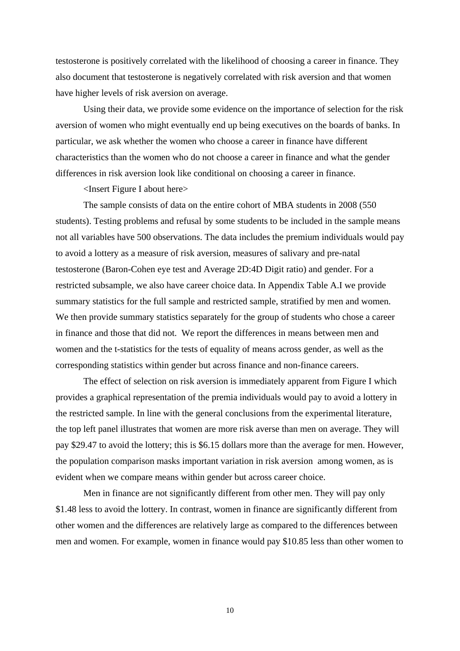testosterone is positively correlated with the likelihood of choosing a career in finance. They also document that testosterone is negatively correlated with risk aversion and that women have higher levels of risk aversion on average.

Using their data, we provide some evidence on the importance of selection for the risk aversion of women who might eventually end up being executives on the boards of banks. In particular, we ask whether the women who choose a career in finance have different characteristics than the women who do not choose a career in finance and what the gender differences in risk aversion look like conditional on choosing a career in finance.

<Insert Figure I about here>

The sample consists of data on the entire cohort of MBA students in 2008 (550 students). Testing problems and refusal by some students to be included in the sample means not all variables have 500 observations. The data includes the premium individuals would pay to avoid a lottery as a measure of risk aversion, measures of salivary and pre-natal testosterone (Baron-Cohen eye test and Average 2D:4D Digit ratio) and gender. For a restricted subsample, we also have career choice data. In Appendix Table A.I we provide summary statistics for the full sample and restricted sample, stratified by men and women. We then provide summary statistics separately for the group of students who chose a career in finance and those that did not. We report the differences in means between men and women and the t-statistics for the tests of equality of means across gender, as well as the corresponding statistics within gender but across finance and non-finance careers.

The effect of selection on risk aversion is immediately apparent from Figure I which provides a graphical representation of the premia individuals would pay to avoid a lottery in the restricted sample. In line with the general conclusions from the experimental literature, the top left panel illustrates that women are more risk averse than men on average. They will pay \$29.47 to avoid the lottery; this is \$6.15 dollars more than the average for men. However, the population comparison masks important variation in risk aversion among women, as is evident when we compare means within gender but across career choice.

Men in finance are not significantly different from other men. They will pay only \$1.48 less to avoid the lottery. In contrast, women in finance are significantly different from other women and the differences are relatively large as compared to the differences between men and women. For example, women in finance would pay \$10.85 less than other women to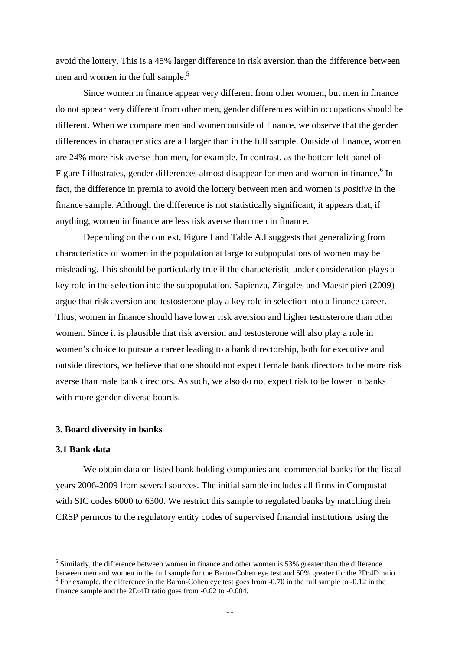avoid the lottery. This is a 45% larger difference in risk aversion than the difference between men and women in the full sample.<sup>5</sup>

Since women in finance appear very different from other women, but men in finance do not appear very different from other men, gender differences within occupations should be different. When we compare men and women outside of finance, we observe that the gender differences in characteristics are all larger than in the full sample. Outside of finance, women are 24% more risk averse than men, for example. In contrast, as the bottom left panel of Figure I illustrates, gender differences almost disappear for men and women in finance.<sup>6</sup> In fact, the difference in premia to avoid the lottery between men and women is *positive* in the finance sample. Although the difference is not statistically significant, it appears that, if anything, women in finance are less risk averse than men in finance.

Depending on the context, Figure I and Table A.I suggests that generalizing from characteristics of women in the population at large to subpopulations of women may be misleading. This should be particularly true if the characteristic under consideration plays a key role in the selection into the subpopulation. Sapienza, Zingales and Maestripieri (2009) argue that risk aversion and testosterone play a key role in selection into a finance career. Thus, women in finance should have lower risk aversion and higher testosterone than other women. Since it is plausible that risk aversion and testosterone will also play a role in women's choice to pursue a career leading to a bank directorship, both for executive and outside directors, we believe that one should not expect female bank directors to be more risk averse than male bank directors. As such, we also do not expect risk to be lower in banks with more gender-diverse boards.

#### **3. Board diversity in banks**

# **3.1 Bank data**

1

We obtain data on listed bank holding companies and commercial banks for the fiscal years 2006-2009 from several sources. The initial sample includes all firms in Compustat with SIC codes 6000 to 6300. We restrict this sample to regulated banks by matching their CRSP permcos to the regulatory entity codes of supervised financial institutions using the

<sup>&</sup>lt;sup>5</sup> Similarly, the difference between women in finance and other women is 53% greater than the difference between men and women in the full sample for the Baron-Cohen eye test and 50% greater for the 2D:4D ratio. 6  $6$  For example, the difference in the Baron-Cohen eye test goes from  $-0.70$  in the full sample to  $-0.12$  in the finance sample and the 2D:4D ratio goes from -0.02 to -0.004.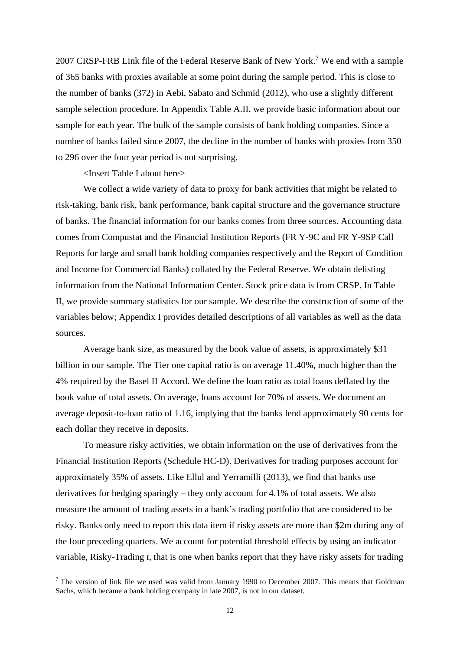2007 CRSP-FRB Link file of the Federal Reserve Bank of New York.<sup>7</sup> We end with a sample of 365 banks with proxies available at some point during the sample period. This is close to the number of banks (372) in Aebi, Sabato and Schmid (2012), who use a slightly different sample selection procedure. In Appendix Table A.II, we provide basic information about our sample for each year. The bulk of the sample consists of bank holding companies. Since a number of banks failed since 2007, the decline in the number of banks with proxies from 350 to 296 over the four year period is not surprising.

<Insert Table I about here>

We collect a wide variety of data to proxy for bank activities that might be related to risk-taking, bank risk, bank performance, bank capital structure and the governance structure of banks. The financial information for our banks comes from three sources. Accounting data comes from Compustat and the Financial Institution Reports (FR Y-9C and FR Y-9SP Call Reports for large and small bank holding companies respectively and the Report of Condition and Income for Commercial Banks) collated by the Federal Reserve. We obtain delisting information from the National Information Center. Stock price data is from CRSP. In Table II, we provide summary statistics for our sample. We describe the construction of some of the variables below; Appendix I provides detailed descriptions of all variables as well as the data sources.

Average bank size, as measured by the book value of assets, is approximately \$31 billion in our sample. The Tier one capital ratio is on average 11.40%, much higher than the 4% required by the Basel II Accord. We define the loan ratio as total loans deflated by the book value of total assets. On average, loans account for 70% of assets. We document an average deposit-to-loan ratio of 1.16, implying that the banks lend approximately 90 cents for each dollar they receive in deposits.

To measure risky activities, we obtain information on the use of derivatives from the Financial Institution Reports (Schedule HC-D). Derivatives for trading purposes account for approximately 35% of assets. Like Ellul and Yerramilli (2013), we find that banks use derivatives for hedging sparingly – they only account for 4.1% of total assets. We also measure the amount of trading assets in a bank's trading portfolio that are considered to be risky. Banks only need to report this data item if risky assets are more than \$2m during any of the four preceding quarters. We account for potential threshold effects by using an indicator variable, Risky-Trading *t*, that is one when banks report that they have risky assets for trading

The version of link file we used was valid from January 1990 to December 2007. This means that Goldman Sachs, which became a bank holding company in late 2007, is not in our dataset.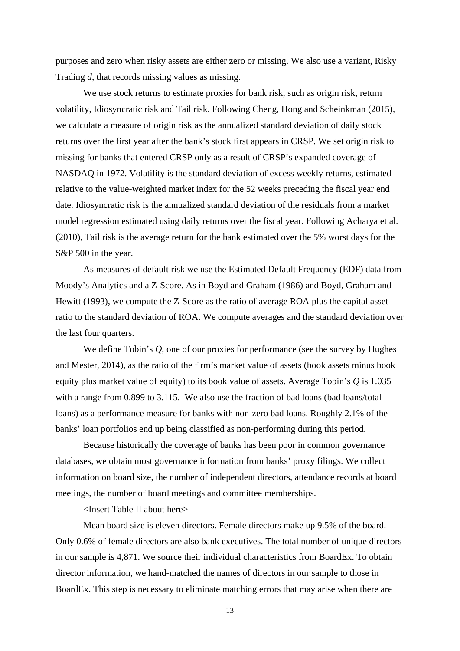purposes and zero when risky assets are either zero or missing. We also use a variant, Risky Trading *d*, that records missing values as missing.

We use stock returns to estimate proxies for bank risk, such as origin risk, return volatility, Idiosyncratic risk and Tail risk. Following Cheng, Hong and Scheinkman (2015), we calculate a measure of origin risk as the annualized standard deviation of daily stock returns over the first year after the bank's stock first appears in CRSP. We set origin risk to missing for banks that entered CRSP only as a result of CRSP's expanded coverage of NASDAQ in 1972. Volatility is the standard deviation of excess weekly returns, estimated relative to the value-weighted market index for the 52 weeks preceding the fiscal year end date. Idiosyncratic risk is the annualized standard deviation of the residuals from a market model regression estimated using daily returns over the fiscal year. Following Acharya et al. (2010), Tail risk is the average return for the bank estimated over the 5% worst days for the S&P 500 in the year.

As measures of default risk we use the Estimated Default Frequency (EDF) data from Moody's Analytics and a Z-Score. As in Boyd and Graham (1986) and Boyd, Graham and Hewitt (1993), we compute the Z-Score as the ratio of average ROA plus the capital asset ratio to the standard deviation of ROA. We compute averages and the standard deviation over the last four quarters.

We define Tobin's *Q*, one of our proxies for performance (see the survey by Hughes and Mester, 2014), as the ratio of the firm's market value of assets (book assets minus book equity plus market value of equity) to its book value of assets. Average Tobin's *Q* is 1.035 with a range from 0.899 to 3.115. We also use the fraction of bad loans (bad loans/total loans) as a performance measure for banks with non-zero bad loans. Roughly 2.1% of the banks' loan portfolios end up being classified as non-performing during this period.

Because historically the coverage of banks has been poor in common governance databases, we obtain most governance information from banks' proxy filings. We collect information on board size, the number of independent directors, attendance records at board meetings, the number of board meetings and committee memberships.

<Insert Table II about here>

Mean board size is eleven directors. Female directors make up 9.5% of the board. Only 0.6% of female directors are also bank executives. The total number of unique directors in our sample is 4,871. We source their individual characteristics from BoardEx. To obtain director information, we hand-matched the names of directors in our sample to those in BoardEx. This step is necessary to eliminate matching errors that may arise when there are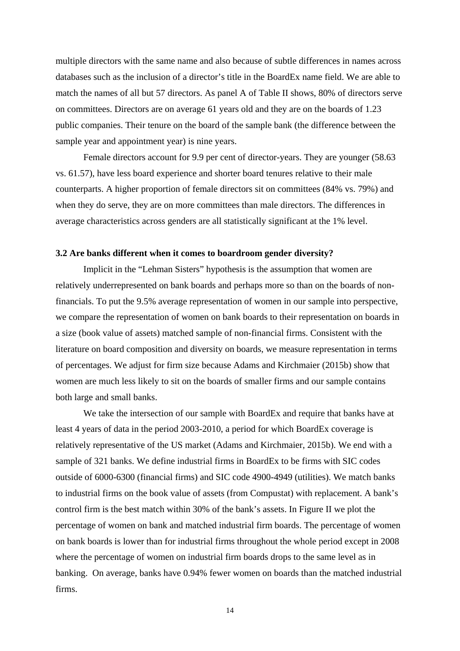multiple directors with the same name and also because of subtle differences in names across databases such as the inclusion of a director's title in the BoardEx name field. We are able to match the names of all but 57 directors. As panel A of Table II shows, 80% of directors serve on committees. Directors are on average 61 years old and they are on the boards of 1.23 public companies. Their tenure on the board of the sample bank (the difference between the sample year and appointment year) is nine years.

Female directors account for 9.9 per cent of director-years. They are younger (58.63 vs. 61.57), have less board experience and shorter board tenures relative to their male counterparts. A higher proportion of female directors sit on committees (84% vs. 79%) and when they do serve, they are on more committees than male directors. The differences in average characteristics across genders are all statistically significant at the 1% level.

#### **3.2 Are banks different when it comes to boardroom gender diversity?**

Implicit in the "Lehman Sisters" hypothesis is the assumption that women are relatively underrepresented on bank boards and perhaps more so than on the boards of nonfinancials. To put the 9.5% average representation of women in our sample into perspective, we compare the representation of women on bank boards to their representation on boards in a size (book value of assets) matched sample of non-financial firms. Consistent with the literature on board composition and diversity on boards, we measure representation in terms of percentages. We adjust for firm size because Adams and Kirchmaier (2015b) show that women are much less likely to sit on the boards of smaller firms and our sample contains both large and small banks.

We take the intersection of our sample with BoardEx and require that banks have at least 4 years of data in the period 2003-2010, a period for which BoardEx coverage is relatively representative of the US market (Adams and Kirchmaier, 2015b). We end with a sample of 321 banks. We define industrial firms in BoardEx to be firms with SIC codes outside of 6000-6300 (financial firms) and SIC code 4900-4949 (utilities). We match banks to industrial firms on the book value of assets (from Compustat) with replacement. A bank's control firm is the best match within 30% of the bank's assets. In Figure II we plot the percentage of women on bank and matched industrial firm boards. The percentage of women on bank boards is lower than for industrial firms throughout the whole period except in 2008 where the percentage of women on industrial firm boards drops to the same level as in banking. On average, banks have 0.94% fewer women on boards than the matched industrial firms.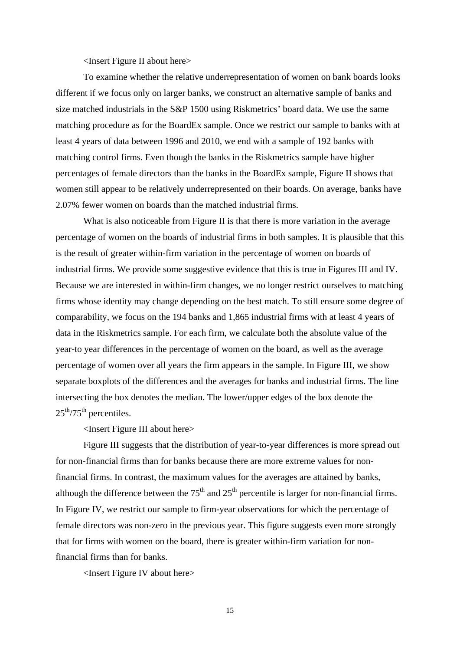<Insert Figure II about here>

To examine whether the relative underrepresentation of women on bank boards looks different if we focus only on larger banks, we construct an alternative sample of banks and size matched industrials in the S&P 1500 using Riskmetrics' board data. We use the same matching procedure as for the BoardEx sample. Once we restrict our sample to banks with at least 4 years of data between 1996 and 2010, we end with a sample of 192 banks with matching control firms. Even though the banks in the Riskmetrics sample have higher percentages of female directors than the banks in the BoardEx sample, Figure II shows that women still appear to be relatively underrepresented on their boards. On average, banks have 2.07% fewer women on boards than the matched industrial firms.

What is also noticeable from Figure II is that there is more variation in the average percentage of women on the boards of industrial firms in both samples. It is plausible that this is the result of greater within-firm variation in the percentage of women on boards of industrial firms. We provide some suggestive evidence that this is true in Figures III and IV. Because we are interested in within-firm changes, we no longer restrict ourselves to matching firms whose identity may change depending on the best match. To still ensure some degree of comparability, we focus on the 194 banks and 1,865 industrial firms with at least 4 years of data in the Riskmetrics sample. For each firm, we calculate both the absolute value of the year-to year differences in the percentage of women on the board, as well as the average percentage of women over all years the firm appears in the sample. In Figure III, we show separate boxplots of the differences and the averages for banks and industrial firms. The line intersecting the box denotes the median. The lower/upper edges of the box denote the  $25<sup>th</sup>/75<sup>th</sup>$  percentiles.

<Insert Figure III about here>

Figure III suggests that the distribution of year-to-year differences is more spread out for non-financial firms than for banks because there are more extreme values for nonfinancial firms. In contrast, the maximum values for the averages are attained by banks, although the difference between the  $75<sup>th</sup>$  and  $25<sup>th</sup>$  percentile is larger for non-financial firms. In Figure IV, we restrict our sample to firm-year observations for which the percentage of female directors was non-zero in the previous year. This figure suggests even more strongly that for firms with women on the board, there is greater within-firm variation for nonfinancial firms than for banks.

<Insert Figure IV about here>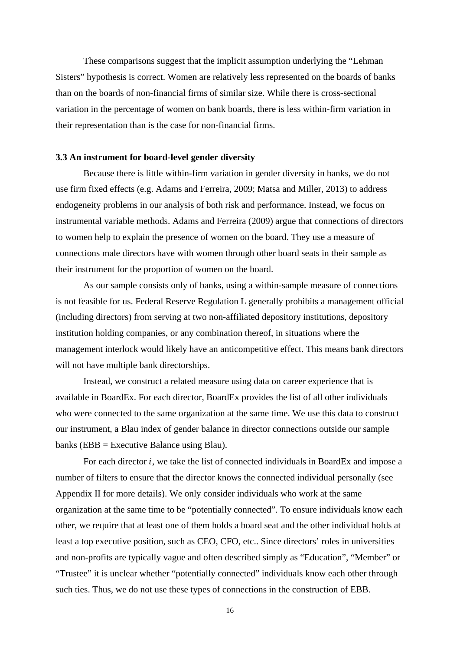These comparisons suggest that the implicit assumption underlying the "Lehman Sisters" hypothesis is correct. Women are relatively less represented on the boards of banks than on the boards of non-financial firms of similar size. While there is cross-sectional variation in the percentage of women on bank boards, there is less within-firm variation in their representation than is the case for non-financial firms.

### **3.3 An instrument for board-level gender diversity**

Because there is little within-firm variation in gender diversity in banks, we do not use firm fixed effects (e.g. Adams and Ferreira, 2009; Matsa and Miller, 2013) to address endogeneity problems in our analysis of both risk and performance. Instead, we focus on instrumental variable methods. Adams and Ferreira (2009) argue that connections of directors to women help to explain the presence of women on the board. They use a measure of connections male directors have with women through other board seats in their sample as their instrument for the proportion of women on the board.

As our sample consists only of banks, using a within-sample measure of connections is not feasible for us. Federal Reserve Regulation L generally prohibits a management official (including directors) from serving at two non-affiliated depository institutions, depository institution holding companies, or any combination thereof, in situations where the management interlock would likely have an anticompetitive effect. This means bank directors will not have multiple bank directorships.

Instead, we construct a related measure using data on career experience that is available in BoardEx. For each director, BoardEx provides the list of all other individuals who were connected to the same organization at the same time. We use this data to construct our instrument, a Blau index of gender balance in director connections outside our sample banks (EBB = Executive Balance using Blau).

For each director  $i$ , we take the list of connected individuals in BoardEx and impose a number of filters to ensure that the director knows the connected individual personally (see Appendix II for more details). We only consider individuals who work at the same organization at the same time to be "potentially connected". To ensure individuals know each other, we require that at least one of them holds a board seat and the other individual holds at least a top executive position, such as CEO, CFO, etc.. Since directors' roles in universities and non-profits are typically vague and often described simply as "Education", "Member" or "Trustee" it is unclear whether "potentially connected" individuals know each other through such ties. Thus, we do not use these types of connections in the construction of EBB.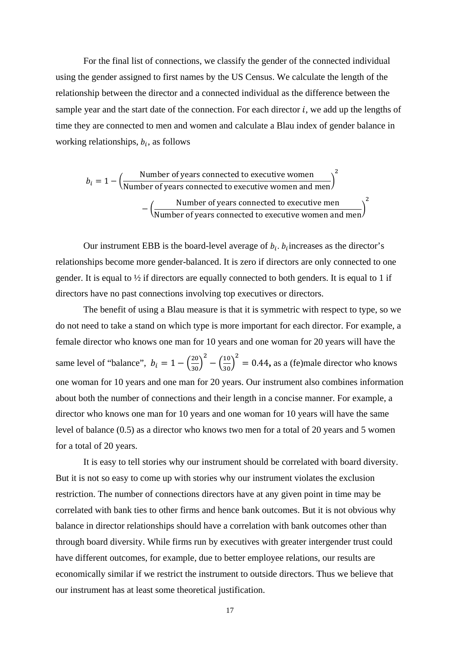For the final list of connections, we classify the gender of the connected individual using the gender assigned to first names by the US Census. We calculate the length of the relationship between the director and a connected individual as the difference between the sample year and the start date of the connection. For each director  $i$ , we add up the lengths of time they are connected to men and women and calculate a Blau index of gender balance in working relationships,  $b_i$ , as follows

$$
b_i = 1 - \left(\frac{\text{Number of years connected to executive women}}{\text{Number of years connected to executive women and men}}\right)^2 - \left(\frac{\text{Number of years connected to executive men}}{\text{Number of years connected to executive women and men}}\right)^2
$$

Our instrument EBB is the board-level average of  $b_i$ .  $b_j$  increases as the director's relationships become more gender-balanced. It is zero if directors are only connected to one gender. It is equal to ½ if directors are equally connected to both genders. It is equal to 1 if directors have no past connections involving top executives or directors.

The benefit of using a Blau measure is that it is symmetric with respect to type, so we do not need to take a stand on which type is more important for each director. For example, a female director who knows one man for 10 years and one woman for 20 years will have the same level of "balance",  $b_i = 1 - \left(\frac{20}{30}\right)^2 - \left(\frac{10}{30}\right)^2 = 0.44$ , as a (fe)male director who knows one woman for 10 years and one man for 20 years. Our instrument also combines information about both the number of connections and their length in a concise manner. For example, a director who knows one man for 10 years and one woman for 10 years will have the same level of balance (0.5) as a director who knows two men for a total of 20 years and 5 women for a total of 20 years.

It is easy to tell stories why our instrument should be correlated with board diversity. But it is not so easy to come up with stories why our instrument violates the exclusion restriction. The number of connections directors have at any given point in time may be correlated with bank ties to other firms and hence bank outcomes. But it is not obvious why balance in director relationships should have a correlation with bank outcomes other than through board diversity. While firms run by executives with greater intergender trust could have different outcomes, for example, due to better employee relations, our results are economically similar if we restrict the instrument to outside directors. Thus we believe that our instrument has at least some theoretical justification.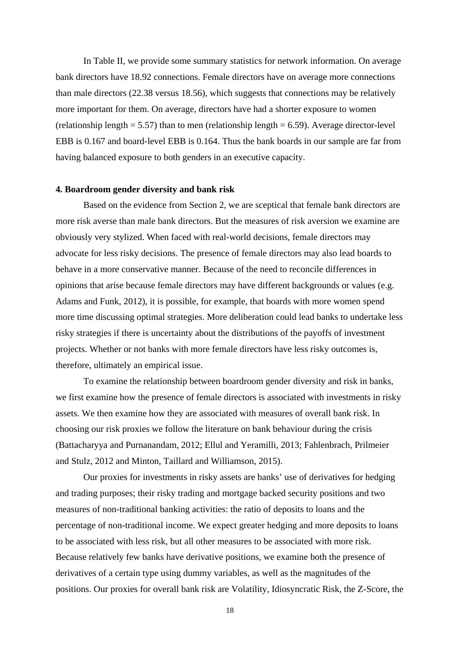In Table II, we provide some summary statistics for network information. On average bank directors have 18.92 connections. Female directors have on average more connections than male directors (22.38 versus 18.56), which suggests that connections may be relatively more important for them. On average, directors have had a shorter exposure to women (relationship length  $= 5.57$ ) than to men (relationship length  $= 6.59$ ). Average director-level EBB is 0.167 and board-level EBB is 0.164. Thus the bank boards in our sample are far from having balanced exposure to both genders in an executive capacity.

#### **4. Boardroom gender diversity and bank risk**

Based on the evidence from Section 2, we are sceptical that female bank directors are more risk averse than male bank directors. But the measures of risk aversion we examine are obviously very stylized. When faced with real-world decisions, female directors may advocate for less risky decisions. The presence of female directors may also lead boards to behave in a more conservative manner. Because of the need to reconcile differences in opinions that arise because female directors may have different backgrounds or values (e.g. Adams and Funk, 2012), it is possible, for example, that boards with more women spend more time discussing optimal strategies. More deliberation could lead banks to undertake less risky strategies if there is uncertainty about the distributions of the payoffs of investment projects. Whether or not banks with more female directors have less risky outcomes is, therefore, ultimately an empirical issue.

To examine the relationship between boardroom gender diversity and risk in banks, we first examine how the presence of female directors is associated with investments in risky assets. We then examine how they are associated with measures of overall bank risk. In choosing our risk proxies we follow the literature on bank behaviour during the crisis (Battacharyya and Purnanandam, 2012; Ellul and Yeramilli, 2013; Fahlenbrach, Prilmeier and Stulz, 2012 and Minton, Taillard and Williamson, 2015).

Our proxies for investments in risky assets are banks' use of derivatives for hedging and trading purposes; their risky trading and mortgage backed security positions and two measures of non-traditional banking activities: the ratio of deposits to loans and the percentage of non-traditional income. We expect greater hedging and more deposits to loans to be associated with less risk, but all other measures to be associated with more risk. Because relatively few banks have derivative positions, we examine both the presence of derivatives of a certain type using dummy variables, as well as the magnitudes of the positions. Our proxies for overall bank risk are Volatility, Idiosyncratic Risk, the Z-Score, the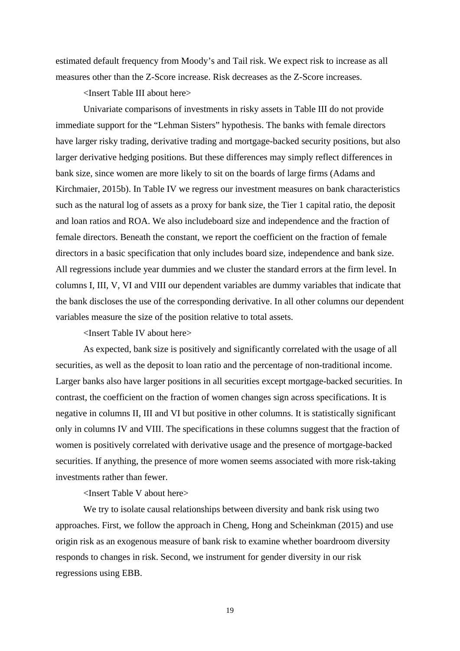estimated default frequency from Moody's and Tail risk. We expect risk to increase as all measures other than the Z-Score increase. Risk decreases as the Z-Score increases.

<Insert Table III about here>

Univariate comparisons of investments in risky assets in Table III do not provide immediate support for the "Lehman Sisters" hypothesis. The banks with female directors have larger risky trading, derivative trading and mortgage-backed security positions, but also larger derivative hedging positions. But these differences may simply reflect differences in bank size, since women are more likely to sit on the boards of large firms (Adams and Kirchmaier, 2015b). In Table IV we regress our investment measures on bank characteristics such as the natural log of assets as a proxy for bank size, the Tier 1 capital ratio, the deposit and loan ratios and ROA. We also includeboard size and independence and the fraction of female directors. Beneath the constant, we report the coefficient on the fraction of female directors in a basic specification that only includes board size, independence and bank size. All regressions include year dummies and we cluster the standard errors at the firm level. In columns I, III, V, VI and VIII our dependent variables are dummy variables that indicate that the bank discloses the use of the corresponding derivative. In all other columns our dependent variables measure the size of the position relative to total assets.

<Insert Table IV about here>

As expected, bank size is positively and significantly correlated with the usage of all securities, as well as the deposit to loan ratio and the percentage of non-traditional income. Larger banks also have larger positions in all securities except mortgage-backed securities. In contrast, the coefficient on the fraction of women changes sign across specifications. It is negative in columns II, III and VI but positive in other columns. It is statistically significant only in columns IV and VIII. The specifications in these columns suggest that the fraction of women is positively correlated with derivative usage and the presence of mortgage-backed securities. If anything, the presence of more women seems associated with more risk-taking investments rather than fewer.

<Insert Table V about here>

We try to isolate causal relationships between diversity and bank risk using two approaches. First, we follow the approach in Cheng, Hong and Scheinkman (2015) and use origin risk as an exogenous measure of bank risk to examine whether boardroom diversity responds to changes in risk. Second, we instrument for gender diversity in our risk regressions using EBB.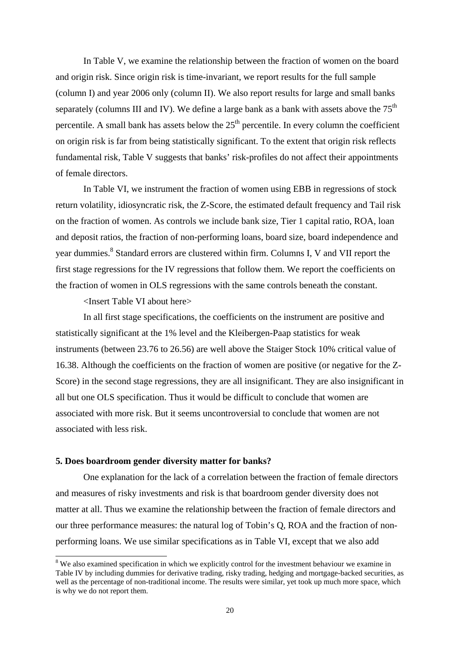In Table V, we examine the relationship between the fraction of women on the board and origin risk. Since origin risk is time-invariant, we report results for the full sample (column I) and year 2006 only (column II). We also report results for large and small banks separately (columns III and IV). We define a large bank as a bank with assets above the  $75<sup>th</sup>$ percentile. A small bank has assets below the  $25<sup>th</sup>$  percentile. In every column the coefficient on origin risk is far from being statistically significant. To the extent that origin risk reflects fundamental risk, Table V suggests that banks' risk-profiles do not affect their appointments of female directors.

In Table VI, we instrument the fraction of women using EBB in regressions of stock return volatility, idiosyncratic risk, the Z-Score, the estimated default frequency and Tail risk on the fraction of women. As controls we include bank size, Tier 1 capital ratio, ROA, loan and deposit ratios, the fraction of non-performing loans, board size, board independence and year dummies.<sup>8</sup> Standard errors are clustered within firm. Columns I, V and VII report the first stage regressions for the IV regressions that follow them. We report the coefficients on the fraction of women in OLS regressions with the same controls beneath the constant.

<Insert Table VI about here>

In all first stage specifications, the coefficients on the instrument are positive and statistically significant at the 1% level and the Kleibergen-Paap statistics for weak instruments (between 23.76 to 26.56) are well above the Staiger Stock 10% critical value of 16.38. Although the coefficients on the fraction of women are positive (or negative for the Z-Score) in the second stage regressions, they are all insignificant. They are also insignificant in all but one OLS specification. Thus it would be difficult to conclude that women are associated with more risk. But it seems uncontroversial to conclude that women are not associated with less risk.

#### **5. Does boardroom gender diversity matter for banks?**

1

One explanation for the lack of a correlation between the fraction of female directors and measures of risky investments and risk is that boardroom gender diversity does not matter at all. Thus we examine the relationship between the fraction of female directors and our three performance measures: the natural log of Tobin's Q, ROA and the fraction of nonperforming loans. We use similar specifications as in Table VI, except that we also add

<sup>&</sup>lt;sup>8</sup> We also examined specification in which we explicitly control for the investment behaviour we examine in Table IV by including dummies for derivative trading, risky trading, hedging and mortgage-backed securities, as well as the percentage of non-traditional income. The results were similar, yet took up much more space, which is why we do not report them.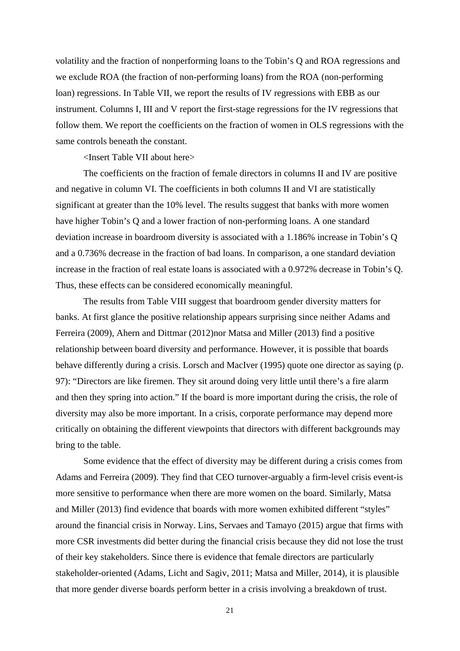volatility and the fraction of nonperforming loans to the Tobin's Q and ROA regressions and we exclude ROA (the fraction of non-performing loans) from the ROA (non-performing loan) regressions. In Table VII, we report the results of IV regressions with EBB as our instrument. Columns I, III and V report the first-stage regressions for the IV regressions that follow them. We report the coefficients on the fraction of women in OLS regressions with the same controls beneath the constant.

<Insert Table VII about here>

The coefficients on the fraction of female directors in columns II and IV are positive and negative in column VI. The coefficients in both columns II and VI are statistically significant at greater than the 10% level. The results suggest that banks with more women have higher Tobin's Q and a lower fraction of non-performing loans. A one standard deviation increase in boardroom diversity is associated with a 1.186% increase in Tobin's Q and a 0.736% decrease in the fraction of bad loans. In comparison, a one standard deviation increase in the fraction of real estate loans is associated with a 0.972% decrease in Tobin's Q. Thus, these effects can be considered economically meaningful.

The results from Table VIII suggest that boardroom gender diversity matters for banks. At first glance the positive relationship appears surprising since neither Adams and Ferreira (2009), Ahern and Dittmar (2012)nor Matsa and Miller (2013) find a positive relationship between board diversity and performance. However, it is possible that boards behave differently during a crisis. Lorsch and MacIver (1995) quote one director as saying (p. 97): "Directors are like firemen. They sit around doing very little until there's a fire alarm and then they spring into action." If the board is more important during the crisis, the role of diversity may also be more important. In a crisis, corporate performance may depend more critically on obtaining the different viewpoints that directors with different backgrounds may bring to the table.

Some evidence that the effect of diversity may be different during a crisis comes from Adams and Ferreira (2009). They find that CEO turnover-arguably a firm-level crisis event-is more sensitive to performance when there are more women on the board. Similarly, Matsa and Miller (2013) find evidence that boards with more women exhibited different "styles" around the financial crisis in Norway. Lins, Servaes and Tamayo (2015) argue that firms with more CSR investments did better during the financial crisis because they did not lose the trust of their key stakeholders. Since there is evidence that female directors are particularly stakeholder-oriented (Adams, Licht and Sagiv, 2011; Matsa and Miller, 2014), it is plausible that more gender diverse boards perform better in a crisis involving a breakdown of trust.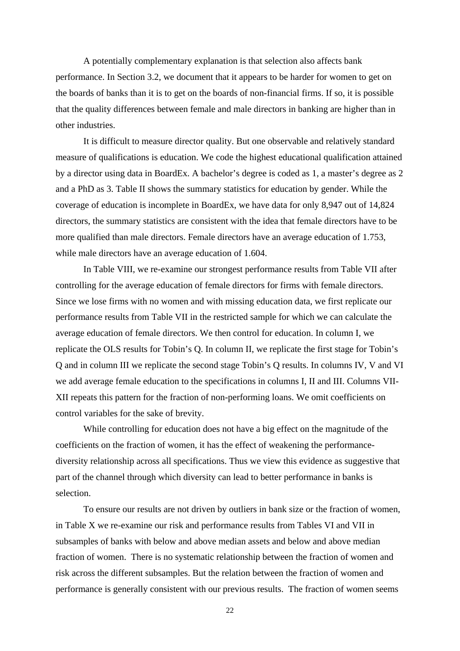A potentially complementary explanation is that selection also affects bank performance. In Section 3.2, we document that it appears to be harder for women to get on the boards of banks than it is to get on the boards of non-financial firms. If so, it is possible that the quality differences between female and male directors in banking are higher than in other industries.

It is difficult to measure director quality. But one observable and relatively standard measure of qualifications is education. We code the highest educational qualification attained by a director using data in BoardEx. A bachelor's degree is coded as 1, a master's degree as 2 and a PhD as 3. Table II shows the summary statistics for education by gender. While the coverage of education is incomplete in BoardEx, we have data for only 8,947 out of 14,824 directors, the summary statistics are consistent with the idea that female directors have to be more qualified than male directors. Female directors have an average education of 1.753, while male directors have an average education of 1.604.

In Table VIII, we re-examine our strongest performance results from Table VII after controlling for the average education of female directors for firms with female directors. Since we lose firms with no women and with missing education data, we first replicate our performance results from Table VII in the restricted sample for which we can calculate the average education of female directors. We then control for education. In column I, we replicate the OLS results for Tobin's Q. In column II, we replicate the first stage for Tobin's Q and in column III we replicate the second stage Tobin's Q results. In columns IV, V and VI we add average female education to the specifications in columns I, II and III. Columns VII-XII repeats this pattern for the fraction of non-performing loans. We omit coefficients on control variables for the sake of brevity.

While controlling for education does not have a big effect on the magnitude of the coefficients on the fraction of women, it has the effect of weakening the performancediversity relationship across all specifications. Thus we view this evidence as suggestive that part of the channel through which diversity can lead to better performance in banks is selection.

To ensure our results are not driven by outliers in bank size or the fraction of women, in Table X we re-examine our risk and performance results from Tables VI and VII in subsamples of banks with below and above median assets and below and above median fraction of women. There is no systematic relationship between the fraction of women and risk across the different subsamples. But the relation between the fraction of women and performance is generally consistent with our previous results. The fraction of women seems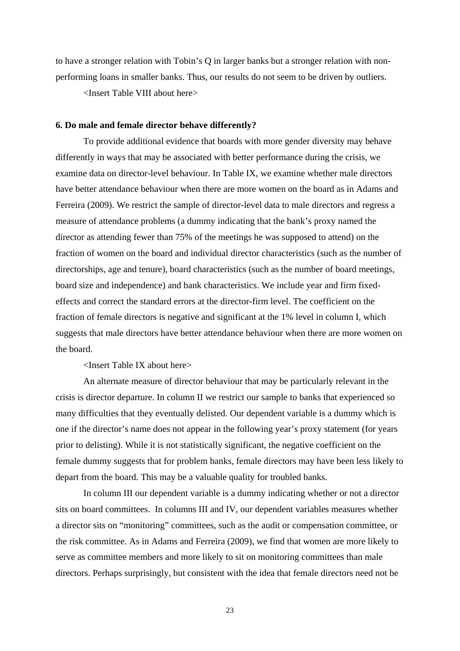to have a stronger relation with Tobin's Q in larger banks but a stronger relation with nonperforming loans in smaller banks. Thus, our results do not seem to be driven by outliers.

<Insert Table VIII about here>

#### **6. Do male and female director behave differently?**

To provide additional evidence that boards with more gender diversity may behave differently in ways that may be associated with better performance during the crisis, we examine data on director-level behaviour. In Table IX, we examine whether male directors have better attendance behaviour when there are more women on the board as in Adams and Ferreira (2009). We restrict the sample of director-level data to male directors and regress a measure of attendance problems (a dummy indicating that the bank's proxy named the director as attending fewer than 75% of the meetings he was supposed to attend) on the fraction of women on the board and individual director characteristics (such as the number of directorships, age and tenure), board characteristics (such as the number of board meetings, board size and independence) and bank characteristics. We include year and firm fixedeffects and correct the standard errors at the director-firm level. The coefficient on the fraction of female directors is negative and significant at the 1% level in column I, which suggests that male directors have better attendance behaviour when there are more women on the board.

<Insert Table IX about here>

An alternate measure of director behaviour that may be particularly relevant in the crisis is director departure. In column II we restrict our sample to banks that experienced so many difficulties that they eventually delisted. Our dependent variable is a dummy which is one if the director's name does not appear in the following year's proxy statement (for years prior to delisting). While it is not statistically significant, the negative coefficient on the female dummy suggests that for problem banks, female directors may have been less likely to depart from the board. This may be a valuable quality for troubled banks.

In column III our dependent variable is a dummy indicating whether or not a director sits on board committees. In columns III and IV, our dependent variables measures whether a director sits on "monitoring" committees, such as the audit or compensation committee, or the risk committee. As in Adams and Ferreira (2009), we find that women are more likely to serve as committee members and more likely to sit on monitoring committees than male directors. Perhaps surprisingly, but consistent with the idea that female directors need not be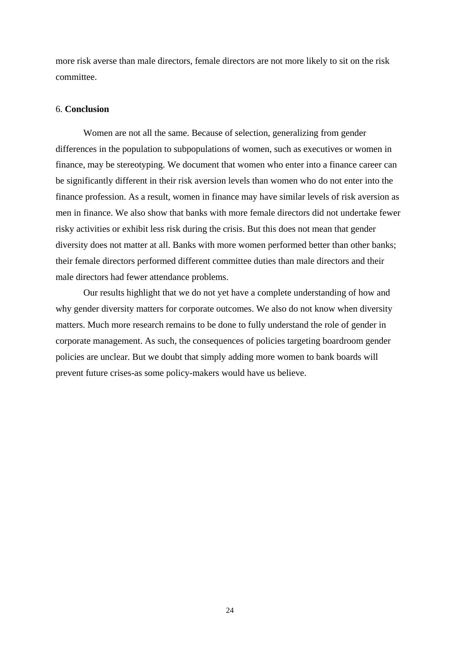more risk averse than male directors, female directors are not more likely to sit on the risk committee.

# 6. **Conclusion**

Women are not all the same. Because of selection, generalizing from gender differences in the population to subpopulations of women, such as executives or women in finance, may be stereotyping. We document that women who enter into a finance career can be significantly different in their risk aversion levels than women who do not enter into the finance profession. As a result, women in finance may have similar levels of risk aversion as men in finance. We also show that banks with more female directors did not undertake fewer risky activities or exhibit less risk during the crisis. But this does not mean that gender diversity does not matter at all. Banks with more women performed better than other banks; their female directors performed different committee duties than male directors and their male directors had fewer attendance problems.

Our results highlight that we do not yet have a complete understanding of how and why gender diversity matters for corporate outcomes. We also do not know when diversity matters. Much more research remains to be done to fully understand the role of gender in corporate management. As such, the consequences of policies targeting boardroom gender policies are unclear. But we doubt that simply adding more women to bank boards will prevent future crises-as some policy-makers would have us believe.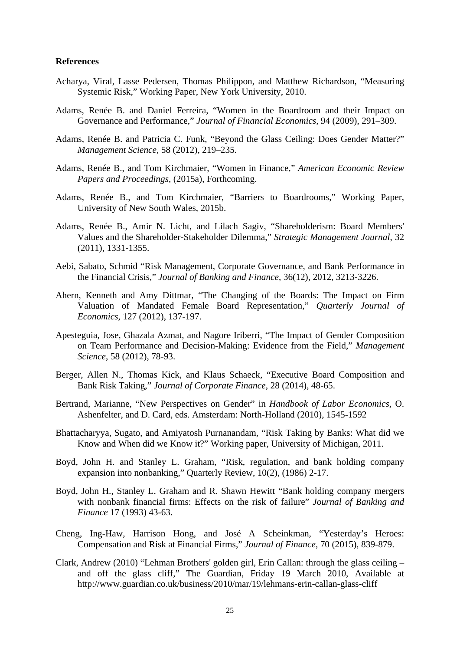### **References**

- Acharya, Viral, Lasse Pedersen, Thomas Philippon, and Matthew Richardson, "Measuring Systemic Risk," Working Paper, New York University, 2010.
- Adams, Renée B. and Daniel Ferreira, "Women in the Boardroom and their Impact on Governance and Performance," *Journal of Financial Economics,* 94 (2009), 291–309.
- Adams, Renée B. and Patricia C. Funk, "Beyond the Glass Ceiling: Does Gender Matter?" *Management Science,* 58 (2012), 219–235.
- Adams, Renée B., and Tom Kirchmaier, "Women in Finance," *American Economic Review Papers and Proceedings*, (2015a), Forthcoming.
- Adams, Renée B., and Tom Kirchmaier, "Barriers to Boardrooms," Working Paper, University of New South Wales, 2015b.
- Adams, Renée B., Amir N. Licht, and Lilach Sagiv, "Shareholderism: Board Members' Values and the Shareholder-Stakeholder Dilemma," *Strategic Management Journal*, 32 (2011), 1331-1355.
- Aebi, Sabato, Schmid "Risk Management, Corporate Governance, and Bank Performance in the Financial Crisis," *Journal of Banking and Finance*, 36(12), 2012, 3213-3226.
- Ahern, Kenneth and Amy Dittmar, "The Changing of the Boards: The Impact on Firm Valuation of Mandated Female Board Representation," *Quarterly Journal of Economics*, 127 (2012), 137-197.
- Apesteguia, Jose, Ghazala Azmat, and Nagore Iriberri, "The Impact of Gender Composition on Team Performance and Decision-Making: Evidence from the Field," *Management Science*, 58 (2012), 78-93.
- Berger, Allen N., Thomas Kick, and Klaus Schaeck, "Executive Board Composition and Bank Risk Taking," *Journal of Corporate Finance*, 28 (2014), 48-65.
- Bertrand, Marianne, "New Perspectives on Gender" in *Handbook of Labor Economics*, O. Ashenfelter, and D. Card, eds. Amsterdam: North-Holland (2010), 1545-1592
- Bhattacharyya, Sugato, and Amiyatosh Purnanandam, "Risk Taking by Banks: What did we Know and When did we Know it?" Working paper, University of Michigan, 2011.
- Boyd, John H. and Stanley L. Graham, "Risk, regulation, and bank holding company expansion into nonbanking," Quarterly Review, 10(2), (1986) 2-17.
- Boyd, John H., Stanley L. Graham and R. Shawn Hewitt "Bank holding company mergers with nonbank financial firms: Effects on the risk of failure" *Journal of Banking and Finance* 17 (1993) 43-63.
- Cheng, Ing-Haw, Harrison Hong, and José A Scheinkman, "Yesterday's Heroes: Compensation and Risk at Financial Firms," *Journal of Finance*, 70 (2015), 839-879.
- Clark, Andrew (2010) "Lehman Brothers' golden girl, Erin Callan: through the glass ceiling and off the glass cliff," The Guardian, Friday 19 March 2010, Available at http://www.guardian.co.uk/business/2010/mar/19/lehmans-erin-callan-glass-cliff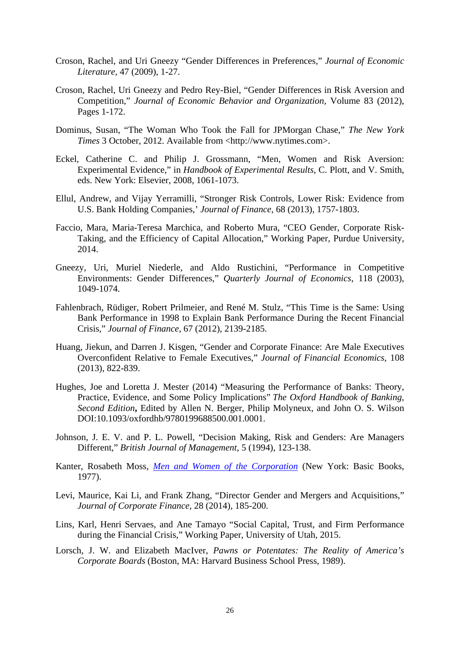- Croson, Rachel, and Uri Gneezy "Gender Differences in Preferences," *Journal of Economic Literature,* 47 (2009), 1-27.
- Croson, Rachel, Uri Gneezy and Pedro Rey-Biel, "Gender Differences in Risk Aversion and Competition," *Journal of Economic Behavior and Organization,* Volume 83 (2012), Pages 1-172.
- Dominus, Susan, "The Woman Who Took the Fall for JPMorgan Chase," *The New York Times* 3 October, 2012. Available from <http://www.nytimes.com>.
- Eckel, Catherine C. and Philip J. Grossmann, "Men, Women and Risk Aversion: Experimental Evidence," in *Handbook of Experimental Results*, C. Plott, and V. Smith, eds. New York: Elsevier, 2008, 1061-1073.
- Ellul, Andrew, and Vijay Yerramilli, "Stronger Risk Controls, Lower Risk: Evidence from U.S. Bank Holding Companies,' *Journal of Finance*, 68 (2013), 1757-1803.
- Faccio, Mara, Maria-Teresa Marchica, and Roberto Mura, "CEO Gender, Corporate Risk-Taking, and the Efficiency of Capital Allocation," Working Paper, Purdue University, 2014.
- Gneezy, Uri, Muriel Niederle, and Aldo Rustichini, "Performance in Competitive Environments: Gender Differences," *Quarterly Journal of Economics*, 118 (2003), 1049-1074.
- Fahlenbrach, Rüdiger, Robert Prilmeier, and René M. Stulz, "This Time is the Same: Using Bank Performance in 1998 to Explain Bank Performance During the Recent Financial Crisis," *Journal of Finance*, 67 (2012), 2139-2185.
- Huang, Jiekun, and Darren J. Kisgen, "Gender and Corporate Finance: Are Male Executives Overconfident Relative to Female Executives," *Journal of Financial Economics*, 108 (2013), 822-839.
- Hughes, Joe and Loretta J. Mester (2014) "Measuring the Performance of Banks: Theory, Practice, Evidence, and Some Policy Implications" *The Oxford Handbook of Banking, Second Edition***,** Edited by Allen N. Berger, Philip Molyneux, and John O. S. Wilson DOI:10.1093/oxfordhb/9780199688500.001.0001.
- Johnson, J. E. V. and P. L. Powell, "Decision Making, Risk and Genders: Are Managers Different," *British Journal of Management*, 5 (1994), 123-138.
- Kanter, Rosabeth Moss, *Men and Women of the Corporation* (New York: Basic Books, 1977).
- Levi, Maurice, Kai Li, and Frank Zhang, "Director Gender and Mergers and Acquisitions," *Journal of Corporate Finance*, 28 (2014), 185-200.
- Lins, Karl, Henri Servaes, and Ane Tamayo "Social Capital, Trust, and Firm Performance during the Financial Crisis," Working Paper, University of Utah, 2015.
- Lorsch, J. W. and Elizabeth MacIver, *Pawns or Potentates: The Reality of America's Corporate Boards* (Boston, MA: Harvard Business School Press, 1989).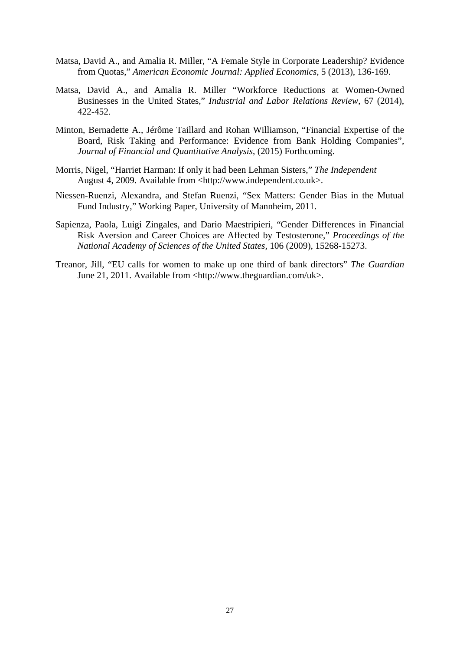- Matsa, David A., and Amalia R. Miller, "A Female Style in Corporate Leadership? Evidence from Quotas," *American Economic Journal: Applied Economics*, 5 (2013), 136-169.
- Matsa, David A., and Amalia R. Miller "Workforce Reductions at Women-Owned Businesses in the United States," *Industrial and Labor Relations Review*, 67 (2014), 422-452.
- Minton, Bernadette A., Jérôme Taillard and Rohan Williamson, "Financial Expertise of the Board, Risk Taking and Performance: Evidence from Bank Holding Companies", *Journal of Financial and Quantitative Analysis*, (2015) Forthcoming.
- Morris, Nigel, "Harriet Harman: If only it had been Lehman Sisters," *The Independent* August 4, 2009. Available from <http://www.independent.co.uk>.
- Niessen-Ruenzi, Alexandra, and Stefan Ruenzi, "Sex Matters: Gender Bias in the Mutual Fund Industry," Working Paper, University of Mannheim, 2011.
- Sapienza, Paola, Luigi Zingales, and Dario Maestripieri, "Gender Differences in Financial Risk Aversion and Career Choices are Affected by Testosterone," *Proceedings of the National Academy of Sciences of the United States,* 106 (2009), 15268-15273.
- Treanor, Jill, "EU calls for women to make up one third of bank directors" *The Guardian* June 21, 2011. Available from <http://www.theguardian.com/uk>.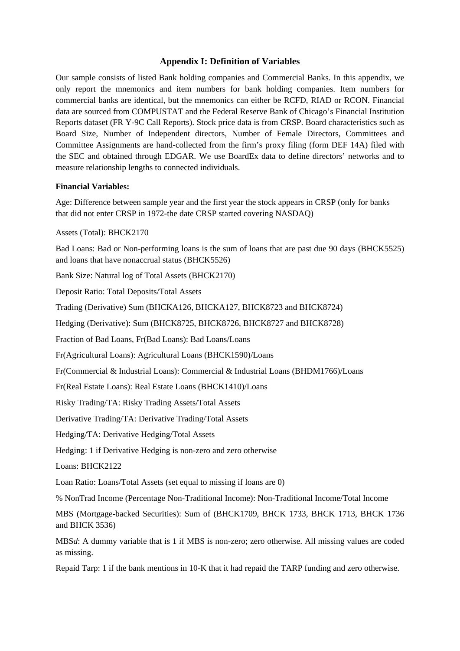# **Appendix I: Definition of Variables**

Our sample consists of listed Bank holding companies and Commercial Banks. In this appendix, we only report the mnemonics and item numbers for bank holding companies. Item numbers for commercial banks are identical, but the mnemonics can either be RCFD, RIAD or RCON. Financial data are sourced from COMPUSTAT and the Federal Reserve Bank of Chicago's Financial Institution Reports dataset (FR Y-9C Call Reports). Stock price data is from CRSP. Board characteristics such as Board Size, Number of Independent directors, Number of Female Directors, Committees and Committee Assignments are hand-collected from the firm's proxy filing (form DEF 14A) filed with the SEC and obtained through EDGAR. We use BoardEx data to define directors' networks and to measure relationship lengths to connected individuals.

#### **Financial Variables:**

Age: Difference between sample year and the first year the stock appears in CRSP (only for banks that did not enter CRSP in 1972-the date CRSP started covering NASDAQ)

Assets (Total): BHCK2170

Bad Loans: Bad or Non-performing loans is the sum of loans that are past due 90 days (BHCK5525) and loans that have nonaccrual status (BHCK5526)

Bank Size: Natural log of Total Assets (BHCK2170)

Deposit Ratio: Total Deposits/Total Assets

Trading (Derivative) Sum (BHCKA126, BHCKA127, BHCK8723 and BHCK8724)

Hedging (Derivative): Sum (BHCK8725, BHCK8726, BHCK8727 and BHCK8728)

Fraction of Bad Loans, Fr(Bad Loans): Bad Loans/Loans

Fr(Agricultural Loans): Agricultural Loans (BHCK1590)/Loans

Fr(Commercial & Industrial Loans): Commercial & Industrial Loans (BHDM1766)/Loans

Fr(Real Estate Loans): Real Estate Loans (BHCK1410)/Loans

Risky Trading/TA: Risky Trading Assets/Total Assets

Derivative Trading/TA: Derivative Trading/Total Assets

Hedging/TA: Derivative Hedging/Total Assets

Hedging: 1 if Derivative Hedging is non-zero and zero otherwise

Loans: BHCK2122

Loan Ratio: Loans/Total Assets (set equal to missing if loans are 0)

% NonTrad Income (Percentage Non-Traditional Income): Non-Traditional Income/Total Income

MBS (Mortgage-backed Securities): Sum of (BHCK1709, BHCK 1733, BHCK 1713, BHCK 1736 and BHCK 3536)

MBS*d*: A dummy variable that is 1 if MBS is non-zero; zero otherwise. All missing values are coded as missing.

Repaid Tarp: 1 if the bank mentions in 10-K that it had repaid the TARP funding and zero otherwise.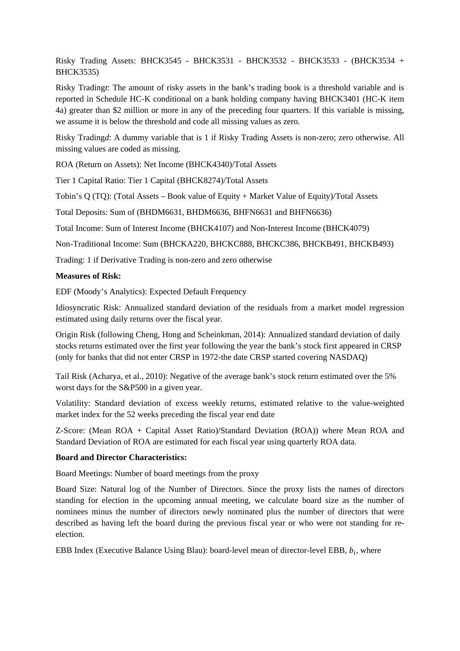Risky Trading Assets: BHCK3545 - BHCK3531 - BHCK3532 - BHCK3533 - (BHCK3534 + BHCK3535)

Risky Trading*t*: The amount of risky assets in the bank's trading book is a threshold variable and is reported in Schedule HC-K conditional on a bank holding company having BHCK3401 (HC-K item 4a) greater than \$2 million or more in any of the preceding four quarters. If this variable is missing, we assume it is below the threshold and code all missing values as zero.

Risky Trading*d*: A dummy variable that is 1 if Risky Trading Assets is non-zero; zero otherwise. All missing values are coded as missing.

ROA (Return on Assets): Net Income (BHCK4340)/Total Assets

Tier 1 Capital Ratio: Tier 1 Capital (BHCK8274)/Total Assets

Tobin's Q (TQ): (Total Assets – Book value of Equity + Market Value of Equity)/Total Assets

Total Deposits: Sum of (BHDM6631, BHDM6636, BHFN6631 and BHFN6636)

Total Income: Sum of Interest Income (BHCK4107) and Non-Interest Income (BHCK4079)

Non-Traditional Income: Sum (BHCKA220, BHCKC888, BHCKC386, BHCKB491, BHCKB493)

Trading: 1 if Derivative Trading is non-zero and zero otherwise

### **Measures of Risk:**

EDF (Moody's Analytics): Expected Default Frequency

Idiosyncratic Risk: Annualized standard deviation of the residuals from a market model regression estimated using daily returns over the fiscal year.

Origin Risk (following Cheng, Hong and Scheinkman, 2014): Annualized standard deviation of daily stocks returns estimated over the first year following the year the bank's stock first appeared in CRSP (only for banks that did not enter CRSP in 1972-the date CRSP started covering NASDAQ)

Tail Risk (Acharya, et al., 2010): Negative of the average bank's stock return estimated over the 5% worst days for the S&P500 in a given year.

Volatility: Standard deviation of excess weekly returns, estimated relative to the value-weighted market index for the 52 weeks preceding the fiscal year end date

Z-Score: (Mean ROA + Capital Asset Ratio)/Standard Deviation (ROA)) where Mean ROA and Standard Deviation of ROA are estimated for each fiscal year using quarterly ROA data.

### **Board and Director Characteristics:**

Board Meetings: Number of board meetings from the proxy

Board Size: Natural log of the Number of Directors. Since the proxy lists the names of directors standing for election in the upcoming annual meeting, we calculate board size as the number of nominees minus the number of directors newly nominated plus the number of directors that were described as having left the board during the previous fiscal year or who were not standing for reelection.

EBB Index (Executive Balance Using Blau): board-level mean of director-level EBB,  $b_i$ , where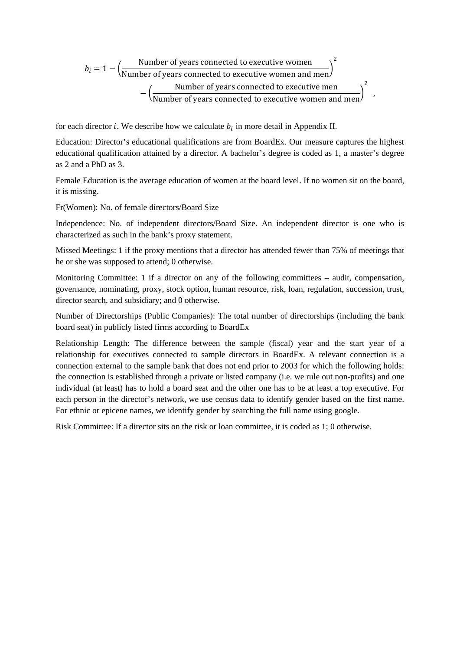$$
b_i = 1 - \left(\frac{\text{Number of years connected to executive women}}{\text{Number of years connected to executive women and men}}\right)^2 - \left(\frac{\text{Number of years connected to executive men}}{\text{Number of years connected to executive women and men}}\right)^2,
$$

for each director *i*. We describe how we calculate  $b_i$  in more detail in Appendix II.

Education: Director's educational qualifications are from BoardEx. Our measure captures the highest educational qualification attained by a director. A bachelor's degree is coded as 1, a master's degree as 2 and a PhD as 3.

Female Education is the average education of women at the board level. If no women sit on the board, it is missing.

Fr(Women): No. of female directors/Board Size

Independence: No. of independent directors/Board Size. An independent director is one who is characterized as such in the bank's proxy statement.

Missed Meetings: 1 if the proxy mentions that a director has attended fewer than 75% of meetings that he or she was supposed to attend; 0 otherwise.

Monitoring Committee: 1 if a director on any of the following committees – audit, compensation, governance, nominating, proxy, stock option, human resource, risk, loan, regulation, succession, trust, director search, and subsidiary; and 0 otherwise.

Number of Directorships (Public Companies): The total number of directorships (including the bank board seat) in publicly listed firms according to BoardEx

Relationship Length: The difference between the sample (fiscal) year and the start year of a relationship for executives connected to sample directors in BoardEx. A relevant connection is a connection external to the sample bank that does not end prior to 2003 for which the following holds: the connection is established through a private or listed company (i.e. we rule out non-profits) and one individual (at least) has to hold a board seat and the other one has to be at least a top executive. For each person in the director's network, we use census data to identify gender based on the first name. For ethnic or epicene names, we identify gender by searching the full name using google.

Risk Committee: If a director sits on the risk or loan committee, it is coded as 1; 0 otherwise.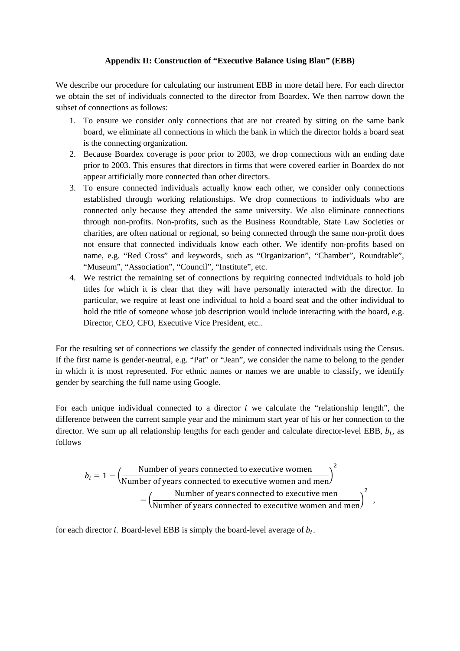#### **Appendix II: Construction of "Executive Balance Using Blau" (EBB)**

We describe our procedure for calculating our instrument EBB in more detail here. For each director we obtain the set of individuals connected to the director from Boardex. We then narrow down the subset of connections as follows:

- 1. To ensure we consider only connections that are not created by sitting on the same bank board, we eliminate all connections in which the bank in which the director holds a board seat is the connecting organization.
- 2. Because Boardex coverage is poor prior to 2003, we drop connections with an ending date prior to 2003. This ensures that directors in firms that were covered earlier in Boardex do not appear artificially more connected than other directors.
- 3. To ensure connected individuals actually know each other, we consider only connections established through working relationships. We drop connections to individuals who are connected only because they attended the same university. We also eliminate connections through non-profits. Non-profits, such as the Business Roundtable, State Law Societies or charities, are often national or regional, so being connected through the same non-profit does not ensure that connected individuals know each other. We identify non-profits based on name, e.g. "Red Cross" and keywords, such as "Organization", "Chamber", Roundtable", "Museum", "Association", "Council", "Institute", etc.
- 4. We restrict the remaining set of connections by requiring connected individuals to hold job titles for which it is clear that they will have personally interacted with the director. In particular, we require at least one individual to hold a board seat and the other individual to hold the title of someone whose job description would include interacting with the board, e.g. Director, CEO, CFO, Executive Vice President, etc..

For the resulting set of connections we classify the gender of connected individuals using the Census. If the first name is gender-neutral, e.g. "Pat" or "Jean", we consider the name to belong to the gender in which it is most represented. For ethnic names or names we are unable to classify, we identify gender by searching the full name using Google.

For each unique individual connected to a director  $i$  we calculate the "relationship length", the difference between the current sample year and the minimum start year of his or her connection to the director. We sum up all relationship lengths for each gender and calculate director-level EBB,  $b_i$ , as follows

$$
b_i = 1 - \left(\frac{\text{Number of years connected to executive women}}{\text{Number of years connected to executive women and men}}\right)^2 - \left(\frac{\text{Number of years connected to executive men}}{\text{Number of years connected to executive women and men}}\right)^2,
$$

for each director *i*. Board-level EBB is simply the board-level average of  $b_i$ .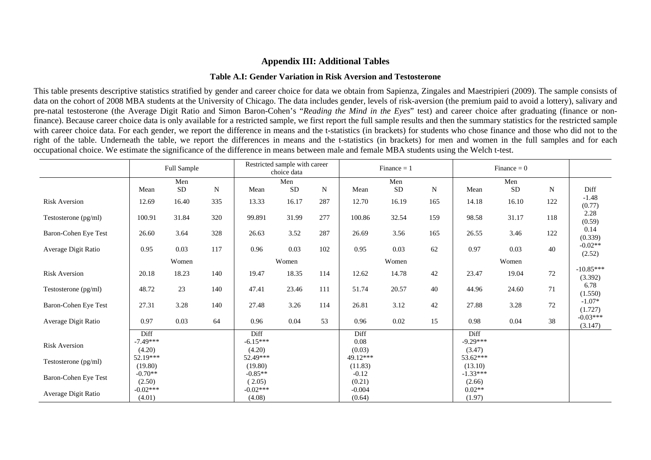# **Appendix III: Additional Tables**

#### **Table A.I: Gender Variation in Risk Aversion and Testosterone**

This table presents descriptive statistics stratified by gender and career choice for data we obtain from Sapienza, Zingales and Maestripieri (2009). The sample consists of data on the cohort of 2008 MBA students at the University of Chicago. The data includes gender, levels of risk-aversion (the premium paid to avoid a lottery), salivary and pre-natal testosterone (the Average Digit Ratio and Simon Baron-Cohen's "*Reading the Mind in the Eyes*" test) and career choice after graduating (finance or nonfinance). Because career choice data is only available for a restricted sample, we first report the full sample results and then the summary statistics for the restricted sample with career choice data. For each gender, we report the difference in means and the t-statistics (in brackets) for students who chose finance and those who did not to the right of the table. Underneath the table, we report the differences in means and the t-statistics (in brackets) for men and women in the full samples and for each occupational choice. We estimate the significance of the difference in means between male and female MBA students using the Welch t-test.

|                        | Full Sample          |           | Restricted sample with career<br>choice data |                      |           | Finance $= 1$ |                    |           | Finance $= 0$ |                    |           |     |                        |
|------------------------|----------------------|-----------|----------------------------------------------|----------------------|-----------|---------------|--------------------|-----------|---------------|--------------------|-----------|-----|------------------------|
|                        |                      | Men       |                                              |                      | Men       |               | Men                |           | Men           |                    |           |     |                        |
|                        | Mean                 | <b>SD</b> | N                                            | Mean                 | <b>SD</b> | N             | Mean               | <b>SD</b> | $\mathbf N$   | Mean               | <b>SD</b> | N   | Diff                   |
| <b>Risk Aversion</b>   | 12.69                | 16.40     | 335                                          | 13.33                | 16.17     | 287           | 12.70              | 16.19     | 165           | 14.18              | 16.10     | 122 | $-1.48$<br>(0.77)      |
| Testosterone (pg/ml)   | 100.91               | 31.84     | 320                                          | 99.891               | 31.99     | 277           | 100.86             | 32.54     | 159           | 98.58              | 31.17     | 118 | 2.28<br>(0.59)         |
| Baron-Cohen Eye Test   | 26.60                | 3.64      | 328                                          | 26.63                | 3.52      | 287           | 26.69              | 3.56      | 165           | 26.55              | 3.46      | 122 | 0.14<br>(0.339)        |
| Average Digit Ratio    | 0.95                 | 0.03      | 117                                          | 0.96                 | 0.03      | 102           | 0.95               | 0.03      | 62            | 0.97               | 0.03      | 40  | $-0.02**$<br>(2.52)    |
|                        |                      | Women     |                                              |                      | Women     |               |                    | Women     |               |                    | Women     |     |                        |
| <b>Risk Aversion</b>   | 20.18                | 18.23     | 140                                          | 19.47                | 18.35     | 114           | 12.62              | 14.78     | 42            | 23.47              | 19.04     | 72  | $-10.85***$<br>(3.392) |
| Testosterone $(pg/ml)$ | 48.72                | 23        | 140                                          | 47.41                | 23.46     | 111           | 51.74              | 20.57     | 40            | 44.96              | 24.60     | 71  | 6.78<br>(1.550)        |
| Baron-Cohen Eye Test   | 27.31                | 3.28      | 140                                          | 27.48                | 3.26      | 114           | 26.81              | 3.12      | 42            | 27.88              | 3.28      | 72  | $-1.07*$<br>(1.727)    |
| Average Digit Ratio    | 0.97                 | 0.03      | 64                                           | 0.96                 | 0.04      | 53            | 0.96               | 0.02      | 15            | 0.98               | $0.04\,$  | 38  | $-0.03***$<br>(3.147)  |
|                        | Diff                 |           |                                              | Diff                 |           |               | Diff               |           |               | Diff               |           |     |                        |
| <b>Risk Aversion</b>   | $-7.49***$           |           |                                              | $-6.15***$           |           |               | 0.08               |           |               | $-9.29***$         |           |     |                        |
|                        | (4.20)               |           |                                              | (4.20)               |           |               | (0.03)             |           |               | (3.47)             |           |     |                        |
| Testosterone $(pg/ml)$ | 52.19***             |           |                                              | 52.49***             |           |               | 49.12***           |           |               | 53.62***           |           |     |                        |
|                        | (19.80)              |           |                                              | (19.80)              |           |               | (11.83)            |           |               | (13.10)            |           |     |                        |
| Baron-Cohen Eye Test   | $-0.70**$            |           |                                              | $-0.85**$            |           |               | $-0.12$            |           |               | $-1.33***$         |           |     |                        |
|                        | (2.50)               |           |                                              | (2.05)               |           |               | (0.21)             |           |               | (2.66)             |           |     |                        |
| Average Digit Ratio    | $-0.02***$<br>(4.01) |           |                                              | $-0.02***$<br>(4.08) |           |               | $-0.004$<br>(0.64) |           |               | $0.02**$<br>(1.97) |           |     |                        |
|                        |                      |           |                                              |                      |           |               |                    |           |               |                    |           |     |                        |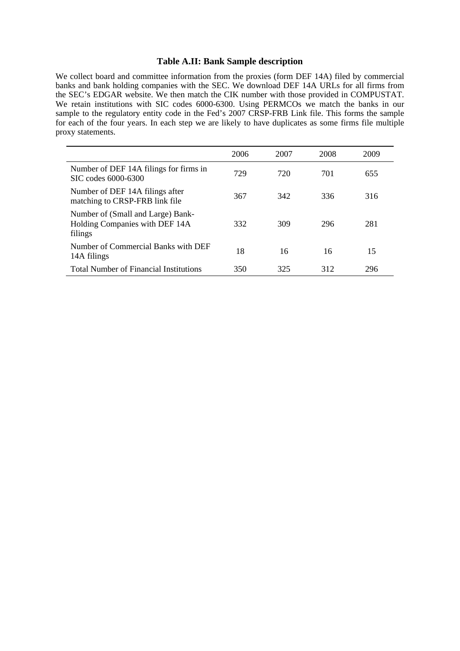#### **Table A.II: Bank Sample description**

We collect board and committee information from the proxies (form DEF 14A) filed by commercial banks and bank holding companies with the SEC. We download DEF 14A URLs for all firms from the SEC's EDGAR website. We then match the CIK number with those provided in COMPUSTAT. We retain institutions with SIC codes 6000-6300. Using PERMCOs we match the banks in our sample to the regulatory entity code in the Fed's 2007 CRSP-FRB Link file. This forms the sample for each of the four years. In each step we are likely to have duplicates as some firms file multiple proxy statements.

|                                                                                | 2006 | 2007 | 2008 | 2009 |
|--------------------------------------------------------------------------------|------|------|------|------|
| Number of DEF 14A filings for firms in<br>SIC codes 6000-6300                  | 729  | 720  | 701  | 655  |
| Number of DEF 14A filings after<br>matching to CRSP-FRB link file              | 367  | 342  | 336  | 316  |
| Number of (Small and Large) Bank-<br>Holding Companies with DEF 14A<br>filings | 332  | 309  | 296  | 281  |
| Number of Commercial Banks with DEF<br>14A filings                             | 18   | 16   | 16   | 15   |
| <b>Total Number of Financial Institutions</b>                                  | 350  | 325  | 312  | 296  |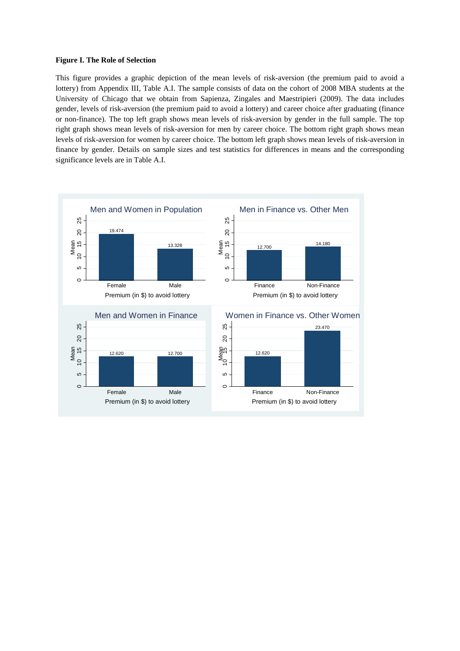#### **Figure I. The Role of Selection**

This figure provides a graphic depiction of the mean levels of risk-aversion (the premium paid to avoid a lottery) from Appendix III, Table A.I. The sample consists of data on the cohort of 2008 MBA students at the University of Chicago that we obtain from Sapienza, Zingales and Maestripieri (2009). The data includes gender, levels of risk-aversion (the premium paid to avoid a lottery) and career choice after graduating (finance or non-finance). The top left graph shows mean levels of risk-aversion by gender in the full sample. The top right graph shows mean levels of risk-aversion for men by career choice. The bottom right graph shows mean levels of risk-aversion for women by career choice. The bottom left graph shows mean levels of risk-aversion in finance by gender. Details on sample sizes and test statistics for differences in means and the corresponding significance levels are in Table A.I.

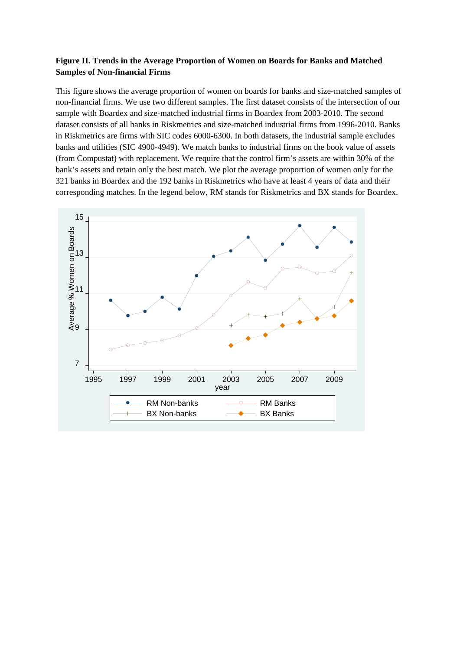# **Figure II. Trends in the Average Proportion of Women on Boards for Banks and Matched Samples of Non-financial Firms**

This figure shows the average proportion of women on boards for banks and size-matched samples of non-financial firms. We use two different samples. The first dataset consists of the intersection of our sample with Boardex and size-matched industrial firms in Boardex from 2003-2010. The second dataset consists of all banks in Riskmetrics and size-matched industrial firms from 1996-2010. Banks in Riskmetrics are firms with SIC codes 6000-6300. In both datasets, the industrial sample excludes banks and utilities (SIC 4900-4949). We match banks to industrial firms on the book value of assets (from Compustat) with replacement. We require that the control firm's assets are within 30% of the bank's assets and retain only the best match. We plot the average proportion of women only for the 321 banks in Boardex and the 192 banks in Riskmetrics who have at least 4 years of data and their corresponding matches. In the legend below, RM stands for Riskmetrics and BX stands for Boardex.

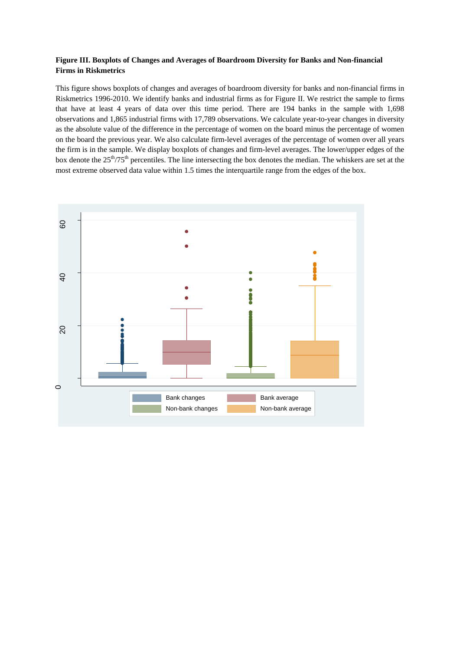#### **Figure III. Boxplots of Changes and Averages of Boardroom Diversity for Banks and Non-financial Firms in Riskmetrics**

This figure shows boxplots of changes and averages of boardroom diversity for banks and non-financial firms in Riskmetrics 1996-2010. We identify banks and industrial firms as for Figure II. We restrict the sample to firms that have at least 4 years of data over this time period. There are 194 banks in the sample with 1,698 observations and 1,865 industrial firms with 17,789 observations. We calculate year-to-year changes in diversity as the absolute value of the difference in the percentage of women on the board minus the percentage of women on the board the previous year. We also calculate firm-level averages of the percentage of women over all years the firm is in the sample. We display boxplots of changes and firm-level averages. The lower/upper edges of the box denote the 25<sup>th</sup>/75<sup>th</sup> percentiles. The line intersecting the box denotes the median. The whiskers are set at the most extreme observed data value within 1.5 times the interquartile range from the edges of the box.

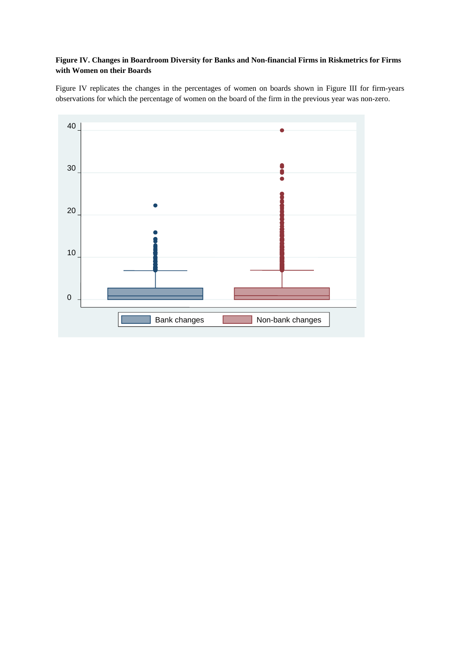# **Figure IV. Changes in Boardroom Diversity for Banks and Non-financial Firms in Riskmetrics for Firms with Women on their Boards**

Figure IV replicates the changes in the percentages of women on boards shown in Figure III for firm-years observations for which the percentage of women on the board of the firm in the previous year was non-zero.

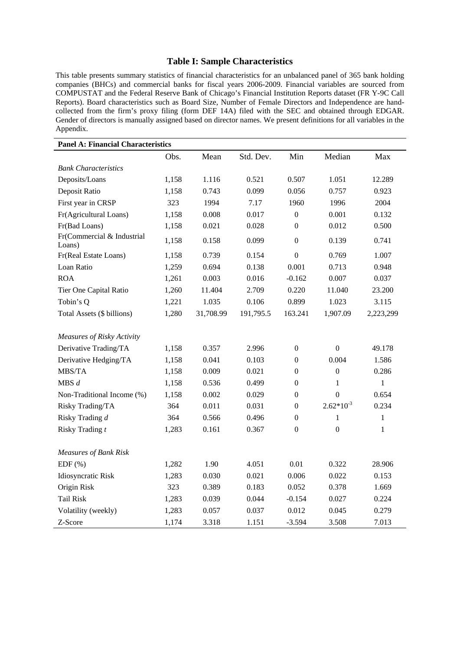#### **Table I: Sample Characteristics**

This table presents summary statistics of financial characteristics for an unbalanced panel of 365 bank holding companies (BHCs) and commercial banks for fiscal years 2006-2009. Financial variables are sourced from COMPUSTAT and the Federal Reserve Bank of Chicago's Financial Institution Reports dataset (FR Y-9C Call Reports). Board characteristics such as Board Size, Number of Female Directors and Independence are handcollected from the firm's proxy filing (form DEF 14A) filed with the SEC and obtained through EDGAR. Gender of directors is manually assigned based on director names. We present definitions for all variables in the Appendix.

| <b>Panel A: Financial Characteristics</b> |       |           |           |                  |                  |              |
|-------------------------------------------|-------|-----------|-----------|------------------|------------------|--------------|
|                                           | Obs.  | Mean      | Std. Dev. | Min              | Median           | Max          |
| <b>Bank Characteristics</b>               |       |           |           |                  |                  |              |
| Deposits/Loans                            | 1,158 | 1.116     | 0.521     | 0.507            | 1.051            | 12.289       |
| Deposit Ratio                             | 1,158 | 0.743     | 0.099     | 0.056            | 0.757            | 0.923        |
| First year in CRSP                        | 323   | 1994      | 7.17      | 1960             | 1996             | 2004         |
| Fr(Agricultural Loans)                    | 1,158 | 0.008     | 0.017     | $\mathbf{0}$     | 0.001            | 0.132        |
| Fr(Bad Loans)                             | 1,158 | 0.021     | 0.028     | $\mathbf{0}$     | 0.012            | 0.500        |
| Fr(Commercial & Industrial<br>Loans)      | 1,158 | 0.158     | 0.099     | $\boldsymbol{0}$ | 0.139            | 0.741        |
| Fr(Real Estate Loans)                     | 1,158 | 0.739     | 0.154     | $\boldsymbol{0}$ | 0.769            | 1.007        |
| Loan Ratio                                | 1,259 | 0.694     | 0.138     | 0.001            | 0.713            | 0.948        |
| <b>ROA</b>                                | 1,261 | 0.003     | 0.016     | $-0.162$         | 0.007            | 0.037        |
| Tier One Capital Ratio                    | 1,260 | 11.404    | 2.709     | 0.220            | 11.040           | 23.200       |
| Tobin's Q                                 | 1,221 | 1.035     | 0.106     | 0.899            | 1.023            | 3.115        |
| Total Assets (\$ billions)                | 1,280 | 31,708.99 | 191,795.5 | 163.241          | 1,907.09         | 2,223,299    |
|                                           |       |           |           |                  |                  |              |
| Measures of Risky Activity                |       |           |           |                  |                  |              |
| Derivative Trading/TA                     | 1,158 | 0.357     | 2.996     | $\theta$         | $\boldsymbol{0}$ | 49.178       |
| Derivative Hedging/TA                     | 1,158 | 0.041     | 0.103     | $\theta$         | 0.004            | 1.586        |
| MBS/TA                                    | 1,158 | 0.009     | 0.021     | $\theta$         | $\mathbf{0}$     | 0.286        |
| MBS d                                     | 1,158 | 0.536     | 0.499     | $\boldsymbol{0}$ | 1                | $\mathbf{1}$ |
| Non-Traditional Income (%)                | 1,158 | 0.002     | 0.029     | $\theta$         | $\mathbf{0}$     | 0.654        |
| Risky Trading/TA                          | 364   | 0.011     | 0.031     | $\boldsymbol{0}$ | $2.62*10^{-3}$   | 0.234        |
| Risky Trading d                           | 364   | 0.566     | 0.496     | $\theta$         | $\mathbf{1}$     | $\mathbf{1}$ |
| Risky Trading t                           | 1,283 | 0.161     | 0.367     | $\boldsymbol{0}$ | $\boldsymbol{0}$ | $\mathbf{1}$ |
|                                           |       |           |           |                  |                  |              |
| <b>Measures of Bank Risk</b>              |       |           |           |                  |                  |              |
| $EDF$ $%$                                 | 1,282 | 1.90      | 4.051     | 0.01             | 0.322            | 28.906       |
| Idiosyncratic Risk                        | 1,283 | 0.030     | 0.021     | 0.006            | 0.022            | 0.153        |
| Origin Risk                               | 323   | 0.389     | 0.183     | 0.052            | 0.378            | 1.669        |
| <b>Tail Risk</b>                          | 1,283 | 0.039     | 0.044     | $-0.154$         | 0.027            | 0.224        |
| Volatility (weekly)                       | 1,283 | 0.057     | 0.037     | 0.012            | 0.045            | 0.279        |
| Z-Score                                   | 1,174 | 3.318     | 1.151     | $-3.594$         | 3.508            | 7.013        |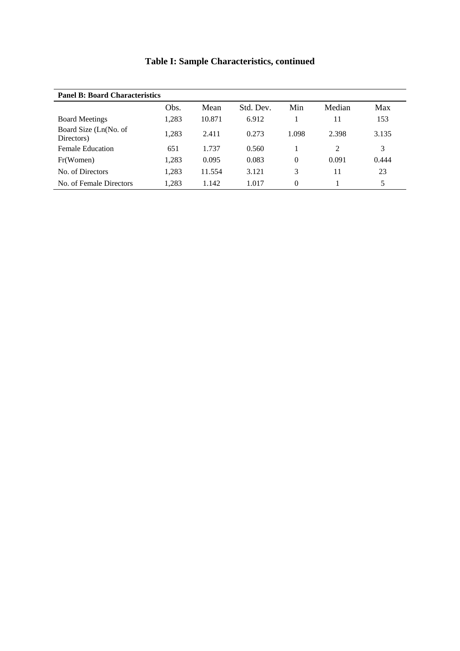|                                     | <b>Panel B: Board Characteristics</b> |        |           |          |        |       |  |  |  |  |  |  |
|-------------------------------------|---------------------------------------|--------|-----------|----------|--------|-------|--|--|--|--|--|--|
|                                     | Obs.                                  | Mean   | Std. Dev. | Min      | Median | Max   |  |  |  |  |  |  |
| <b>Board Meetings</b>               | 1,283                                 | 10.871 | 6.912     |          | 11     | 153   |  |  |  |  |  |  |
| Board Size (Ln(No. of<br>Directors) | 1,283                                 | 2.411  | 0.273     | 1.098    | 2.398  | 3.135 |  |  |  |  |  |  |
| <b>Female Education</b>             | 651                                   | 1.737  | 0.560     |          | 2      | 3     |  |  |  |  |  |  |
| Fr(Women)                           | 1,283                                 | 0.095  | 0.083     | $\theta$ | 0.091  | 0.444 |  |  |  |  |  |  |
| No. of Directors                    | 1,283                                 | 11.554 | 3.121     | 3        | 11     | 23    |  |  |  |  |  |  |
| No. of Female Directors             | 1.283                                 | 1.142  | 1.017     | $\Omega$ |        | 5     |  |  |  |  |  |  |

# **Table I: Sample Characteristics, continued**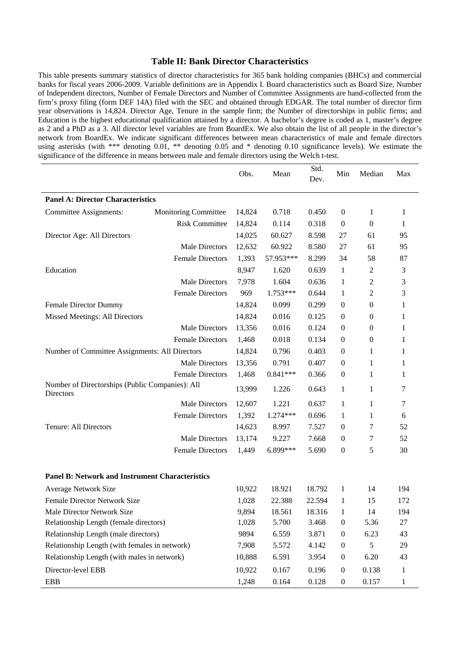#### **Table II: Bank Director Characteristics**

This table presents summary statistics of director characteristics for 365 bank holding companies (BHCs) and commercial banks for fiscal years 2006-2009. Variable definitions are in Appendix I. Board characteristics such as Board Size, Number of Independent directors, Number of Female Directors and Number of Committee Assignments are hand-collected from the firm's proxy filing (form DEF 14A) filed with the SEC and obtained through EDGAR. The total number of director firm year observations is 14,824. Director Age, Tenure in the sample firm; the Number of directorships in public firms; and Education is the highest educational qualification attained by a director. A bachelor's degree is coded as 1, master's degree as 2 and a PhD as a 3. All director level variables are from BoardEx. We also obtain the list of all people in the director's network from BoardEx. We indicate significant differences between mean characteristics of male and female directors using asterisks (with \*\*\* denoting 0.01, \*\* denoting 0.05 and \* denoting 0.10 significance levels). We estimate the significance of the difference in means between male and female directors using the Welch t-test.

|                                                              |                         | Obs.   | Mean       | Std.<br>Dev. | Min              | Median           | Max          |
|--------------------------------------------------------------|-------------------------|--------|------------|--------------|------------------|------------------|--------------|
| <b>Panel A: Director Characteristics</b>                     |                         |        |            |              |                  |                  |              |
| <b>Committee Assignments:</b>                                | Monitoring Committee    | 14,824 | 0.718      | 0.450        | $\theta$         | 1                | 1            |
|                                                              | <b>Risk Committee</b>   | 14,824 | 0.114      | 0.318        | $\theta$         | $\boldsymbol{0}$ | 1            |
| Director Age: All Directors                                  |                         | 14,025 | 60.627     | 8.598        | 27               | 61               | 95           |
|                                                              | Male Directors          | 12,632 | 60.922     | 8.580        | 27               | 61               | 95           |
|                                                              | <b>Female Directors</b> | 1,393  | 57.953***  | 8.299        | 34               | 58               | 87           |
| Education                                                    |                         | 8,947  | 1.620      | 0.639        | 1                | $\mathfrak{2}$   | 3            |
|                                                              | Male Directors          | 7,978  | 1.604      | 0.636        | 1                | $\boldsymbol{2}$ | 3            |
|                                                              | <b>Female Directors</b> | 969    | 1.753***   | 0.644        | 1                | 2                | 3            |
| Female Director Dummy                                        |                         | 14,824 | 0.099      | 0.299        | $\boldsymbol{0}$ | $\boldsymbol{0}$ | 1            |
| Missed Meetings: All Directors                               |                         | 14,824 | 0.016      | 0.125        | $\boldsymbol{0}$ | $\boldsymbol{0}$ | 1            |
|                                                              | <b>Male Directors</b>   | 13,356 | 0.016      | 0.124        | $\theta$         | $\boldsymbol{0}$ | 1            |
|                                                              | <b>Female Directors</b> | 1,468  | 0.018      | 0.134        | $\theta$         | $\boldsymbol{0}$ | 1            |
| Number of Committee Assignments: All Directors               |                         | 14,824 | 0.796      | 0.403        | $\boldsymbol{0}$ | 1                | 1            |
|                                                              | <b>Male Directors</b>   | 13,356 | 0.791      | 0.407        | $\boldsymbol{0}$ | 1                | 1            |
|                                                              | <b>Female Directors</b> | 1,468  | $0.841***$ | 0.366        | $\theta$         | 1                | 1            |
| Number of Directorships (Public Companies): All<br>Directors |                         | 13,999 | 1.226      | 0.643        | $\mathbf{1}$     | 1                | 7            |
|                                                              | Male Directors          | 12,607 | 1.221      | 0.637        | 1                | 1                | 7            |
|                                                              | <b>Female Directors</b> | 1,392  | 1.274***   | 0.696        | 1                | 1                | 6            |
| Tenure: All Directors                                        |                         | 14,623 | 8.997      | 7.527        | $\theta$         | 7                | 52           |
|                                                              | Male Directors          | 13,174 | 9.227      | 7.668        | $\boldsymbol{0}$ | 7                | 52           |
|                                                              | <b>Female Directors</b> | 1,449  | 6.899***   | 5.690        | $\theta$         | 5                | 30           |
| <b>Panel B: Network and Instrument Characteristics</b>       |                         |        |            |              |                  |                  |              |
| Average Network Size                                         |                         | 10,922 | 18.921     | 18.792       | 1                | 14               | 194          |
| Female Director Network Size                                 |                         | 1,028  | 22.388     | 22.594       | $\mathbf{1}$     | 15               | 172          |
| Male Director Network Size                                   |                         | 9,894  | 18.561     | 18.316       | $\overline{1}$   | 14               | 194          |
| Relationship Length (female directors)                       |                         | 1,028  | 5.700      | 3.468        | $\boldsymbol{0}$ | 5.36             | 27           |
| Relationship Length (male directors)                         |                         | 9894   | 6.559      | 3.871        | $\boldsymbol{0}$ | 6.23             | 43           |
| Relationship Length (with females in network)                |                         | 7,908  | 5.572      | 4.142        | $\boldsymbol{0}$ | 5                | 29           |
| Relationship Length (with males in network)                  |                         | 10,888 | 6.591      | 3.954        | $\boldsymbol{0}$ | 6.20             | 43           |
| Director-level EBB                                           |                         | 10,922 | 0.167      | 0.196        | $\boldsymbol{0}$ | 0.138            | 1            |
| <b>EBB</b>                                                   |                         | 1,248  | 0.164      | 0.128        | $\boldsymbol{0}$ | 0.157            | $\mathbf{1}$ |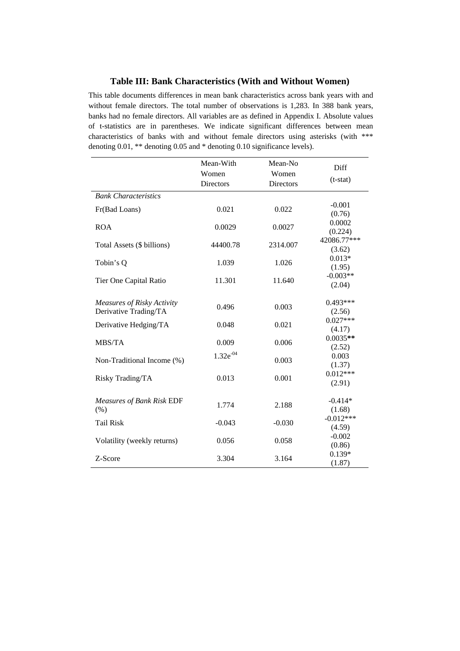# **Table III: Bank Characteristics (With and Without Women)**

This table documents differences in mean bank characteristics across bank years with and without female directors. The total number of observations is 1,283. In 388 bank years, banks had no female directors. All variables are as defined in Appendix I. Absolute values of t-statistics are in parentheses. We indicate significant differences between mean characteristics of banks with and without female directors using asterisks (with \*\*\* denoting 0.01, \*\* denoting 0.05 and \* denoting 0.10 significance levels).

|                                                            | Mean-With<br>Women<br>Directors | Mean-No<br>Women<br>Directors | Diff<br>$(t-stat)$    |
|------------------------------------------------------------|---------------------------------|-------------------------------|-----------------------|
| <b>Bank Characteristics</b>                                |                                 |                               |                       |
| Fr(Bad Loans)                                              | 0.021                           | 0.022                         | $-0.001$<br>(0.76)    |
| <b>ROA</b>                                                 | 0.0029                          | 0.0027                        | 0.0002<br>(0.224)     |
| Total Assets (\$ billions)                                 | 44400.78                        | 2314.007                      | 42086.77***<br>(3.62) |
| Tobin's Q                                                  | 1.039                           | 1.026                         | $0.013*$<br>(1.95)    |
| Tier One Capital Ratio                                     | 11.301                          | 11.640                        | $-0.003**$<br>(2.04)  |
| <b>Measures of Risky Activity</b><br>Derivative Trading/TA | 0.496                           | 0.003                         | $0.493***$<br>(2.56)  |
| Derivative Hedging/TA                                      | 0.048                           | 0.021                         | $0.027***$<br>(4.17)  |
| MBS/TA                                                     | 0.009                           | 0.006                         | $0.0035**$<br>(2.52)  |
| Non-Traditional Income (%)                                 | $1.32e^{-04}$                   | 0.003                         | 0.003<br>(1.37)       |
| Risky Trading/TA                                           | 0.013                           | 0.001                         | $0.012***$<br>(2.91)  |
| Measures of Bank Risk EDF<br>(% )                          | 1.774                           | 2.188                         | $-0.414*$<br>(1.68)   |
| <b>Tail Risk</b>                                           | $-0.043$                        | $-0.030$                      | $-0.012***$<br>(4.59) |
| Volatility (weekly returns)                                | 0.056                           | 0.058                         | $-0.002$<br>(0.86)    |
| Z-Score                                                    | 3.304                           | 3.164                         | $0.139*$<br>(1.87)    |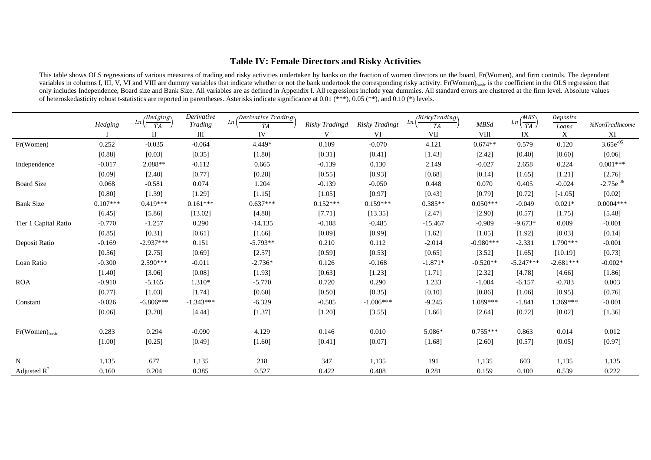# **Table IV: Female Directors and Risky Activities**

This table shows OLS regressions of various measures of trading and risky activities undertaken by banks on the fraction of women directors on the board, Fr(Women), and firm controls. The dependent variables in columns I, III, V, VI and VIII are dummy variables that indicate whether or not the bank undertook the corresponding risky activity. Fr(Women)<sub>basic</sub> is the coefficient in the OLS regression that only includes Independence, Board size and Bank Size. All variables are as defined in Appendix I. All regressions include year dummies. All standard errors are clustered at the firm level. Absolute values of heteroskedasticity robust t-statistics are reported in parentheses. Asterisks indicate significance at 0.01 (\*\*\*), 0.05 (\*\*), and 0.10 (\*) levels.

|                      |            | Hedging<br>Ln  | Derivative  | <i>(Derivative Trading</i> )<br>Ln |                |                       | $\overline{\mathcal{C}}$ Risky $\overline{\mathit{Trading}}$<br>Ln |             | (MBS)<br>Ln           | Deposits    |                |
|----------------------|------------|----------------|-------------|------------------------------------|----------------|-----------------------|--------------------------------------------------------------------|-------------|-----------------------|-------------|----------------|
|                      | $Hedging$  | T <sub>A</sub> | Trading     | <b>TA</b>                          | Risky Tradingd | <b>Risky Tradingt</b> | <b>TA</b>                                                          | <b>MBSd</b> | $\sqrt{\frac{TA}{T}}$ | Loans       | %NonTradIncome |
|                      |            | П              | Ш           | IV                                 | V              | VI                    | <b>VII</b>                                                         | <b>VIII</b> | IX                    | X           | XI             |
| Fr(Women)            | 0.252      | $-0.035$       | $-0.064$    | 4.449*                             | 0.109          | $-0.070$              | 4.121                                                              | $0.674**$   | 0.579                 | 0.120       | $3.65e^{-0.5}$ |
|                      | [0.88]     | [0.03]         | [0.35]      | [1.80]                             | [0.31]         | [0.41]                | [1.43]                                                             | $[2.42]$    | [0.40]                | [0.60]      | [0.06]         |
| Independence         | $-0.017$   | $2.088**$      | $-0.112$    | 0.665                              | $-0.139$       | 0.130                 | 2.149                                                              | $-0.027$    | 2.658                 | 0.224       | $0.001***$     |
|                      | [0.09]     | [2.40]         | [0.77]      | [0.28]                             | [0.55]         | [0.93]                | [0.68]                                                             | [0.14]      | [1.65]                | [1.21]      | [2.76]         |
| <b>Board Size</b>    | 0.068      | $-0.581$       | 0.074       | 1.204                              | $-0.139$       | $-0.050$              | 0.448                                                              | 0.070       | 0.405                 | $-0.024$    | $-2.75e^{-06}$ |
|                      | [0.80]     | [1.39]         | [1.29]      | [1.15]                             | [1.05]         | [0.97]                | [0.43]                                                             | [0.79]      | [0.72]                | $[-1.05]$   | [0.02]         |
| <b>Bank Size</b>     | $0.107***$ | $0.419***$     | $0.161***$  | $0.637***$                         | $0.152***$     | $0.159***$            | $0.385**$                                                          | $0.050***$  | $-0.049$              | $0.021*$    | $0.0004***$    |
|                      | [6.45]     | [5.86]         | [13.02]     | [4.88]                             | [7.71]         | [13.35]               | [2.47]                                                             | [2.90]      | [0.57]                | [1.75]      | [5.48]         |
| Tier 1 Capital Ratio | $-0.770$   | $-1.257$       | 0.290       | $-14.135$                          | $-0.108$       | $-0.485$              | $-15.467$                                                          | $-0.909$    | $-9.673*$             | 0.009       | $-0.001$       |
|                      | [0.85]     | [0.31]         | [0.61]      | [1.66]                             | [0.09]         | [0.99]                | [1.62]                                                             | [1.05]      | [1.92]                | [0.03]      | [0.14]         |
| Deposit Ratio        | $-0.169$   | $-2.937***$    | 0.151       | $-5.793**$                         | 0.210          | 0.112                 | $-2.014$                                                           | $-0.980***$ | $-2.331$              | $1.790***$  | $-0.001$       |
|                      | [0.56]     | [2.75]         | [0.69]      | [2.57]                             | [0.59]         | [0.53]                | [0.65]                                                             | [3.52]      | [1.65]                | [10.19]     | [0.73]         |
| Loan Ratio           | $-0.300$   | $2.590***$     | $-0.011$    | $-2.736*$                          | 0.126          | $-0.168$              | $-1.871*$                                                          | $-0.520**$  | $-5.247***$           | $-2.681***$ | $-0.002*$      |
|                      | $[1.40]$   | [3.06]         | [0.08]      | [1.93]                             | [0.63]         | [1.23]                | [1.71]                                                             | [2.32]      | [4.78]                | [4.66]      | [1.86]         |
| <b>ROA</b>           | $-0.910$   | $-5.165$       | 1.310*      | $-5.770$                           | 0.720          | 0.290                 | 1.233                                                              | $-1.004$    | $-6.157$              | $-0.783$    | 0.003          |
|                      | [0.77]     | [1.03]         | [1.74]      | [0.60]                             | [0.50]         | [0.35]                | [0.10]                                                             | [0.86]      | [1.06]                | [0.95]      | [0.76]         |
| Constant             | $-0.026$   | $-6.806***$    | $-1.343***$ | $-6.329$                           | $-0.585$       | $-1.006***$           | $-9.245$                                                           | 1.089***    | $-1.841$              | 1.369***    | $-0.001$       |
|                      | [0.06]     | [3.70]         | [4.44]      | [1.37]                             | [1.20]         | [3.55]                | [1.66]                                                             | [2.64]      | [0.72]                | [8.02]      | [1.36]         |
|                      |            |                |             |                                    |                |                       |                                                                    |             |                       |             |                |
| $Fr(Women)_{basic}$  | 0.283      | 0.294          | $-0.090$    | 4.129                              | 0.146          | 0.010                 | 5.086*                                                             | $0.755***$  | 0.863                 | 0.014       | 0.012          |
|                      | [1.00]     | [0.25]         | [0.49]      | [1.60]                             | [0.41]         | [0.07]                | [1.68]                                                             | [2.60]      | [0.57]                | [0.05]      | [0.97]         |
|                      |            |                |             |                                    |                |                       |                                                                    |             |                       |             |                |
| N                    | 1,135      | 677            | 1,135       | 218                                | 347            | 1,135                 | 191                                                                | 1,135       | 603                   | 1,135       | 1,135          |
| Adjusted $R^2$       | 0.160      | 0.204          | 0.385       | 0.527                              | 0.422          | 0.408                 | 0.281                                                              | 0.159       | 0.100                 | 0.539       | 0.222          |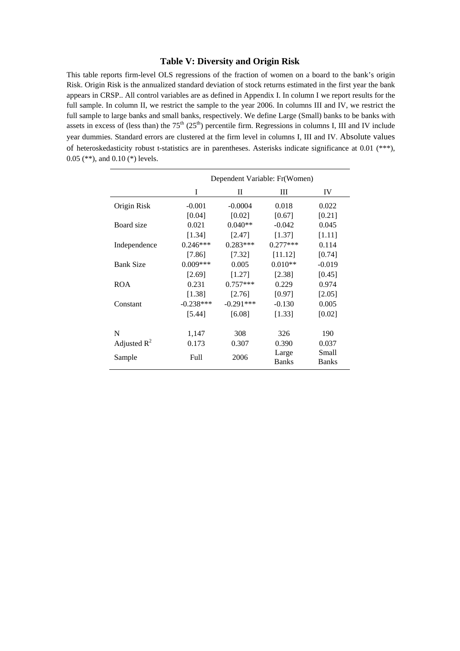#### **Table V: Diversity and Origin Risk**

This table reports firm-level OLS regressions of the fraction of women on a board to the bank's origin Risk. Origin Risk is the annualized standard deviation of stock returns estimated in the first year the bank appears in CRSP.. All control variables are as defined in Appendix I. In column I we report results for the full sample. In column II, we restrict the sample to the year 2006. In columns III and IV, we restrict the full sample to large banks and small banks, respectively. We define Large (Small) banks to be banks with assets in excess of (less than) the  $75<sup>th</sup> (25<sup>th</sup>)$  percentile firm. Regressions in columns I, III and IV include year dummies. Standard errors are clustered at the firm level in columns I, III and IV. Absolute values of heteroskedasticity robust t-statistics are in parentheses. Asterisks indicate significance at 0.01 (\*\*\*), 0.05 (\*\*), and 0.10 (\*) levels.

|                  |             | Dependent Variable: Fr(Women) |                       |                       |
|------------------|-------------|-------------------------------|-----------------------|-----------------------|
|                  | I           | П                             | Ш                     | IV                    |
| Origin Risk      | $-0.001$    | $-0.0004$                     | 0.018                 | 0.022                 |
|                  | [0.04]      | [0.02]                        | [0.67]                | [0.21]                |
| Board size       | 0.021       | $0.040**$                     | $-0.042$              | 0.045                 |
|                  | [1.34]      | [2.47]                        | [1.37]                | [1.11]                |
| Independence     | $0.246***$  | $0.283***$                    | $0.277***$            | 0.114                 |
|                  | $[7.86]$    | [7.32]                        | [11.12]               | [0.74]                |
| <b>Bank Size</b> | $0.009***$  | 0.005                         | $0.010**$             | $-0.019$              |
|                  | [2.69]      | [1.27]                        | [2.38]                | [0.45]                |
| <b>ROA</b>       | 0.231       | $0.757***$                    | 0.229                 | 0.974                 |
|                  | [1.38]      | [2.76]                        | [0.97]                | [2.05]                |
| Constant         | $-0.238***$ | $-0.291***$                   | $-0.130$              | 0.005                 |
|                  | [5.44]      | [6.08]                        | [1.33]                | [0.02]                |
|                  |             |                               |                       |                       |
| N                | 1,147       | 308                           | 326                   | 190                   |
| Adjusted $R^2$   | 0.173       | 0.307                         | 0.390                 | 0.037                 |
| Sample           | Full        | 2006                          | Large<br><b>Banks</b> | Small<br><b>Banks</b> |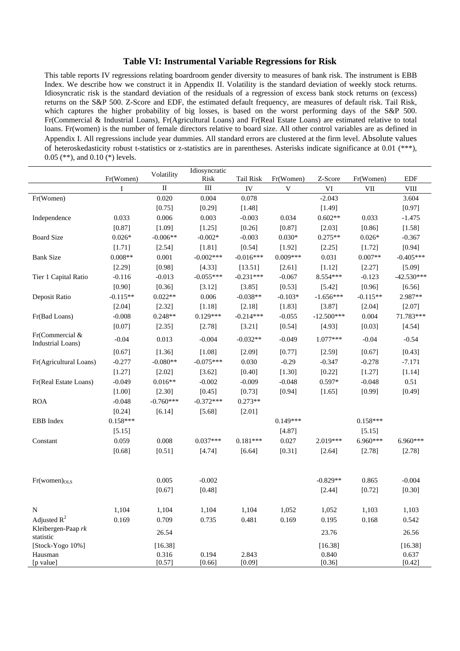#### **Table VI: Instrumental Variable Regressions for Risk**

This table reports IV regressions relating boardroom gender diversity to measures of bank risk. The instrument is EBB Index. We describe how we construct it in Appendix II. Volatility is the standard deviation of weekly stock returns. Idiosyncratic risk is the standard deviation of the residuals of a regression of excess bank stock returns on (excess) returns on the S&P 500. Z-Score and EDF, the estimated default frequency, are measures of default risk. Tail Risk, which captures the higher probability of big losses, is based on the worst performing days of the S&P 500. Fr(Commercial & Industrial Loans), Fr(Agricultural Loans) and Fr(Real Estate Loans) are estimated relative to total loans. Fr(women) is the number of female directors relative to board size. All other control variables are as defined in Appendix I. All regressions include year dummies. All standard errors are clustered at the firm level. Absolute values of heteroskedasticity robust t-statistics or z-statistics are in parentheses. Asterisks indicate significance at 0.01 (\*\*\*), 0.05 (\*\*), and 0.10 (\*) levels.

|                                         | Fr(Women)  | Volatility   | Idiosyncratic<br>Risk | Tail Risk   | Fr(Women)   | Z-Score      | Fr(Women)   | EDF          |
|-----------------------------------------|------------|--------------|-----------------------|-------------|-------------|--------------|-------------|--------------|
|                                         | I          | $\mathbf{I}$ | $\rm III$             | ${\rm IV}$  | $\mathbf V$ | $\mbox{VI}$  | ${\rm VII}$ | VIII         |
| Fr(Women)                               |            | 0.020        | 0.004                 | 0.078       |             | $-2.043$     |             | 3.604        |
|                                         |            | [0.75]       | [0.29]                | [1.48]      |             | [1.49]       |             | [0.97]       |
| Independence                            | 0.033      | 0.006        | 0.003                 | $-0.003$    | 0.034       | $0.602**$    | 0.033       | $-1.475$     |
|                                         | [0.87]     | [1.09]       | [1.25]                | [0.26]      | [0.87]      | [2.03]       | [0.86]      | [1.58]       |
| <b>Board Size</b>                       | $0.026*$   | $-0.006**$   | $-0.002*$             | $-0.003$    | $0.030*$    | $0.275**$    | $0.026*$    | $-0.367$     |
|                                         | [1.71]     | [2.54]       | [1.81]                | [0.54]      | [1.92]      | [2.25]       | [1.72]      | [0.94]       |
| <b>Bank Size</b>                        | $0.008**$  | 0.001        | $-0.002$ ***          | $-0.016***$ | $0.009***$  | 0.031        | $0.007**$   | $-0.405***$  |
|                                         | [2.29]     | [0.98]       | [4.33]                | [13.51]     | [2.61]      | [1.12]       | [2.27]      | [5.09]       |
| Tier 1 Capital Ratio                    | $-0.116$   | $-0.013$     | $-0.055***$           | $-0.231***$ | $-0.067$    | 8.554***     | $-0.123$    | $-42.530***$ |
|                                         | [0.90]     | [0.36]       | [3.12]                | [3.85]      | [0.53]      | [5.42]       | [0.96]      | [6.56]       |
| Deposit Ratio                           | $-0.115**$ | $0.022**$    | 0.006                 | $-0.038**$  | $-0.103*$   | $-1.656***$  | $-0.115**$  | 2.987**      |
|                                         | [2.04]     | [2.32]       | [1.18]                | [2.18]      | [1.83]      | [3.87]       | [2.04]      | $[2.07]$     |
| Fr(Bad Loans)                           | $-0.008$   | $0.248**$    | $0.129***$            | $-0.214***$ | $-0.055$    | $-12.500***$ | 0.004       | 71.783***    |
|                                         | [0.07]     | [2.35]       | [2.78]                | [3.21]      | [0.54]      | [4.93]       | [0.03]      | [4.54]       |
| $Fr$ (Commercial &<br>Industrial Loans) | $-0.04$    | 0.013        | $-0.004$              | $-0.032**$  | $-0.049$    | $1.077***$   | $-0.04$     | $-0.54$      |
|                                         | [0.67]     | [1.36]       | [1.08]                | [2.09]      | [0.77]      | [2.59]       | [0.67]      | [0.43]       |
| Fr(Agricultural Loans)                  | $-0.277$   | $-0.080**$   | $-0.075***$           | 0.030       | $-0.29$     | $-0.347$     | $-0.278$    | $-7.171$     |
|                                         | [1.27]     | [2.02]       | [3.62]                | [0.40]      | [1.30]      | [0.22]       | [1.27]      | [1.14]       |
| Fr(Real Estate Loans)                   | $-0.049$   | $0.016**$    | $-0.002$              | $-0.009$    | $-0.048$    | $0.597*$     | $-0.048$    | 0.51         |
|                                         | [1.00]     | [2.30]       | [0.45]                | [0.73]      | [0.94]      | [1.65]       | [0.99]      | [0.49]       |
| <b>ROA</b>                              | $-0.048$   | $-0.760***$  | $-0.372***$           | $0.273**$   |             |              |             |              |
|                                         | [0.24]     | [6.14]       | [5.68]                | [2.01]      |             |              |             |              |
| EBB Index                               | $0.158***$ |              |                       |             | $0.149***$  |              | $0.158***$  |              |
|                                         | [5.15]     |              |                       |             | [4.87]      |              | [5.15]      |              |
| Constant                                | 0.059      | 0.008        | $0.037***$            | $0.181***$  | 0.027       | 2.019***     | 6.960***    | 6.960***     |
|                                         | [0.68]     | [0.51]       | [4.74]                | [6.64]      | [0.31]      | [2.64]       | [2.78]      | [2.78]       |
| $Fr(women)_{OLS}$                       |            | 0.005        | $-0.002$              |             |             | $-0.829**$   | 0.865       | $-0.004$     |
|                                         |            | [0.67]       | [0.48]                |             |             | [2.44]       | [0.72]      | [0.30]       |
|                                         |            |              |                       |             |             |              |             |              |
| ${\bf N}$                               | 1,104      | 1,104        | 1,104                 | 1,104       | 1,052       | 1,052        | 1,103       | 1,103        |
| Adjusted $R^2$                          | 0.169      | 0.709        | 0.735                 | 0.481       | 0.169       | 0.195        | 0.168       | 0.542        |
| Kleibergen-Paap rk                      |            |              |                       |             |             |              |             |              |
| statistic                               |            | 26.54        |                       |             |             | 23.76        |             | 26.56        |
| [Stock-Yogo 10%]                        |            | [16.38]      |                       |             |             | [16.38]      |             | [16.38]      |
| Hausman                                 |            | 0.316        | 0.194                 | 2.843       |             | 0.840        |             | 0.637        |
| [p value]                               |            | [0.57]       | [0.66]                | [0.09]      |             | [0.36]       |             | [0.42]       |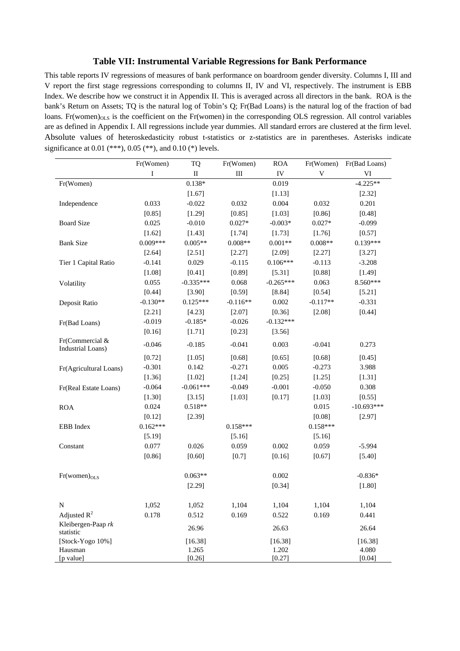#### **Table VII: Instrumental Variable Regressions for Bank Performance**

This table reports IV regressions of measures of bank performance on boardroom gender diversity. Columns I, III and V report the first stage regressions corresponding to columns II, IV and VI, respectively. The instrument is EBB Index. We describe how we construct it in Appendix II. This is averaged across all directors in the bank. ROA is the bank's Return on Assets; TQ is the natural log of Tobin's Q; Fr(Bad Loans) is the natural log of the fraction of bad loans. Fr(women) $_{\text{OLS}}$  is the coefficient on the Fr(women) in the corresponding OLS regression. All control variables are as defined in Appendix I. All regressions include year dummies. All standard errors are clustered at the firm level. Absolute values of heteroskedasticity robust t-statistics or z-statistics are in parentheses. Asterisks indicate significance at 0.01 (\*\*\*), 0.05 (\*\*), and 0.10 (\*) levels.

|                                      | Fr(Women)  | TQ              | Fr(Women)  | <b>ROA</b>      | Fr(Women)  | Fr(Bad Loans)   |
|--------------------------------------|------------|-----------------|------------|-----------------|------------|-----------------|
|                                      | $\bf{I}$   | $\mathbf{I}$    | III        | ${\rm IV}$      | V          | VI              |
| Fr(Women)                            |            | $0.138*$        |            | 0.019           |            | $-4.225**$      |
|                                      |            | $[1.67]$        |            | [1.13]          |            | [2.32]          |
| Independence                         | 0.033      | $-0.022$        | 0.032      | 0.004           | 0.032      | 0.201           |
|                                      | [0.85]     | [1.29]          | [0.85]     | [1.03]          | [0.86]     | [0.48]          |
| <b>Board Size</b>                    | 0.025      | $-0.010$        | $0.027*$   | $-0.003*$       | $0.027*$   | $-0.099$        |
|                                      | [1.62]     | [1.43]          | [1.74]     | [1.73]          | [1.76]     | [0.57]          |
| <b>Bank Size</b>                     | $0.009***$ | $0.005**$       | $0.008**$  | $0.001**$       | $0.008**$  | $0.139***$      |
|                                      | [2.64]     | [2.51]          | [2.27]     | [2.09]          | [2.27]     | [3.27]          |
| Tier 1 Capital Ratio                 | $-0.141$   | 0.029           | $-0.115$   | $0.106***$      | $-0.113$   | $-3.208$        |
|                                      | [1.08]     | [0.41]          | [0.89]     | [5.31]          | [0.88]     | [1.49]          |
| Volatility                           | 0.055      | $-0.335***$     | 0.068      | $-0.265***$     | 0.063      | 8.560***        |
|                                      | [0.44]     | [3.90]          | [0.59]     | [8.84]          | [0.54]     | [5.21]          |
| Deposit Ratio                        | $-0.130**$ | $0.125***$      | $-0.116**$ | 0.002           | $-0.117**$ | $-0.331$        |
|                                      | [2.21]     | [4.23]          | [2.07]     | [0.36]          | [2.08]     | [0.44]          |
| Fr(Bad Loans)                        | $-0.019$   | $-0.185*$       | $-0.026$   | $-0.132***$     |            |                 |
|                                      | [0.16]     | [1.71]          | [0.23]     | [3.56]          |            |                 |
| Fr(Commercial &<br>Industrial Loans) | $-0.046$   | $-0.185$        | $-0.041$   | 0.003           | $-0.041$   | 0.273           |
|                                      | [0.72]     | [1.05]          | [0.68]     | [0.65]          | [0.68]     | [0.45]          |
| Fr(Agricultural Loans)               | $-0.301$   | 0.142           | $-0.271$   | 0.005           | $-0.273$   | 3.988           |
|                                      | [1.36]     | $[1.02]$        | [1.24]     | [0.25]          | [1.25]     | [1.31]          |
| Fr(Real Estate Loans)                | $-0.064$   | $-0.061***$     | $-0.049$   | $-0.001$        | $-0.050$   | 0.308           |
|                                      | [1.30]     | [3.15]          | [1.03]     | [0.17]          | [1.03]     | [0.55]          |
| <b>ROA</b>                           | 0.024      | $0.518**$       |            |                 | 0.015      | $-10.693***$    |
|                                      | [0.12]     | [2.39]          |            |                 | [0.08]     | [2.97]          |
| EBB Index                            | $0.162***$ |                 | $0.158***$ |                 | $0.158***$ |                 |
|                                      | [5.19]     |                 | [5.16]     |                 | [5.16]     |                 |
| Constant                             | 0.077      | 0.026           | 0.059      | 0.002           | 0.059      | $-5.994$        |
|                                      | [0.86]     | [0.60]          | [0.7]      | [0.16]          | [0.67]     | [5.40]          |
| $Fr(women)_{OLS}$                    |            | $0.063**$       |            | 0.002           |            | $-0.836*$       |
|                                      |            | [2.29]          |            | [0.34]          |            | $[1.80]$        |
| ${\bf N}$                            | 1,052      | 1,052           | 1,104      | 1,104           | 1,104      | 1,104           |
| Adjusted $R^2$                       | 0.178      | 0.512           | 0.169      | 0.522           | 0.169      | 0.441           |
| Kleibergen-Paap rk<br>statistic      |            | 26.96           |            | 26.63           |            | 26.64           |
| [Stock-Yogo 10%]                     |            | [16.38]         |            | [16.38]         |            | [16.38]         |
| Hausman<br>[p value]                 |            | 1.265<br>[0.26] |            | 1.202<br>[0.27] |            | 4.080<br>[0.04] |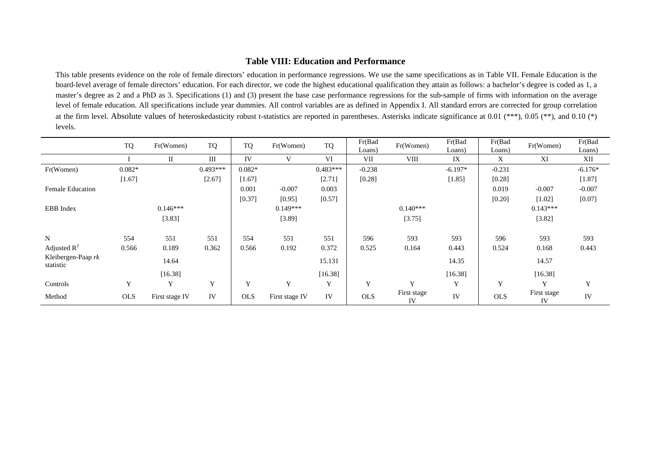#### **Table VIII: Education and Performance**

This table presents evidence on the role of female directors' education in performance regressions. We use the same specifications as in Table VII. Female Education is the board-level average of female directors' education. For each director, we code the highest educational qualification they attain as follows: a bachelor's degree is coded as 1, a master's degree as 2 and a PhD as 3. Specifications (1) and (3) present the base case performance regressions for the sub-sample of firms with information on the average level of female education. All specifications include year dummies. All control variables are as defined in Appendix I. All standard errors are corrected for group correlation at the firm level. Absolute values of heteroskedasticity robust t-statistics are reported in parentheses. Asterisks indicate significance at 0.01 (\*\*\*), 0.05 (\*\*), and 0.10 (\*) levels.

|                                 | <b>TQ</b>  | Fr(Women)      | TQ         | TQ         | Fr(Women)      | TQ         | Fr(Bad<br>Loans) | Fr(Women)         | Fr(Bad<br>Loans) | Fr(Bad<br>Loans) | Fr(Women)         | Fr(Bad<br>Loans) |
|---------------------------------|------------|----------------|------------|------------|----------------|------------|------------------|-------------------|------------------|------------------|-------------------|------------------|
|                                 |            | $\mathbf H$    | $\rm III$  | IV         | V              | VI         | <b>VII</b>       | VIII              | IX               | X                | XI                | XII              |
| Fr(Women)                       | $0.082*$   |                | $0.493***$ | $0.082*$   |                | $0.483***$ | $-0.238$         |                   | $-6.197*$        | $-0.231$         |                   | $-6.176*$        |
|                                 | [1.67]     |                | [2.67]     | $[1.67]$   |                | [2.71]     | [0.28]           |                   | [1.85]           | [0.28]           |                   | [1.87]           |
| <b>Female Education</b>         |            |                |            | 0.001      | $-0.007$       | 0.003      |                  |                   |                  | 0.019            | $-0.007$          | $-0.007$         |
|                                 |            |                |            | [0.37]     | [0.95]         | [0.57]     |                  |                   |                  | [0.20]           | $[1.02]$          | [0.07]           |
| EBB Index                       |            | $0.146***$     |            |            | $0.149***$     |            |                  | $0.140***$        |                  |                  | $0.143***$        |                  |
|                                 |            | [3.83]         |            |            | [3.89]         |            |                  | [3.75]            |                  |                  | [3.82]            |                  |
| N                               | 554        | 551            | 551        | 554        | 551            | 551        | 596              | 593               | 593              | 596              | 593               | 593              |
| Adjusted $R^2$                  | 0.566      | 0.189          | 0.362      | 0.566      | 0.192          | 0.372      | 0.525            | 0.164             | 0.443            | 0.524            | 0.168             | 0.443            |
| Kleibergen-Paap rk<br>statistic |            | 14.64          |            |            |                | 15.131     |                  |                   | 14.35            |                  | 14.57             |                  |
|                                 |            | [16.38]        |            |            |                | [16.38]    |                  |                   | [16.38]          |                  | [16.38]           |                  |
| Controls                        | Y          | Y              | Y          | Y          | Y              | Y          | Y                | Y                 | Y                | Y                | Y                 | Y                |
| Method                          | <b>OLS</b> | First stage IV | IV         | <b>OLS</b> | First stage IV | IV         | <b>OLS</b>       | First stage<br>IV | IV               | <b>OLS</b>       | First stage<br>IV | ${\rm IV}$       |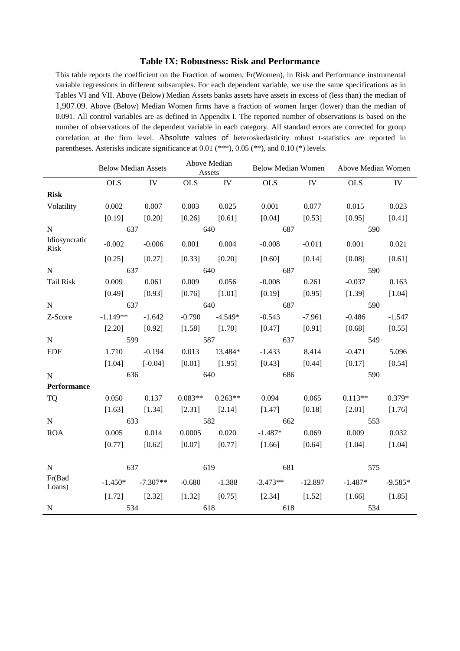#### **Table IX: Robustness: Risk and Performance**

This table reports the coefficient on the Fraction of women, Fr(Women), in Risk and Performance instrumental variable regressions in different subsamples. For each dependent variable, we use the same specifications as in Tables VI and VII. Above (Below) Median Assets banks assets have assets in excess of (less than) the median of 1,907.09. Above (Below) Median Women firms have a fraction of women larger (lower) than the median of 0.091. All control variables are as defined in Appendix I. The reported number of observations is based on the number of observations of the dependent variable in each category. All standard errors are corrected for group correlation at the firm level. Absolute values of heteroskedasticity robust t-statistics are reported in parentheses. Asterisks indicate significance at  $0.01$  (\*\*\*),  $0.05$  (\*\*), and  $0.10$  (\*) levels.

|                       | <b>Below Median Assets</b> |            | Above Median<br>Assets |           | <b>Below Median Women</b> |           | Above Median Women |           |  |
|-----------------------|----------------------------|------------|------------------------|-----------|---------------------------|-----------|--------------------|-----------|--|
|                       | <b>OLS</b>                 | IV         | <b>OLS</b>             | IV        | <b>OLS</b>                | IV        | <b>OLS</b>         | IV        |  |
| <b>Risk</b>           |                            |            |                        |           |                           |           |                    |           |  |
| Volatility            | 0.002                      | 0.007      | 0.003                  | 0.025     | 0.001                     | 0.077     | 0.015              | 0.023     |  |
|                       | [0.19]                     | [0.20]     | [0.26]                 | [0.61]    | [0.04]                    | [0.53]    | [0.95]             | [0.41]    |  |
| ${\bf N}$             | 637                        |            |                        | 640       | 687                       |           | 590                |           |  |
| Idiosyncratic<br>Risk | $-0.002$                   | $-0.006$   | $0.001\,$              | 0.004     | $-0.008$                  | $-0.011$  | 0.001              | 0.021     |  |
|                       | [0.25]                     | [0.27]     | [0.33]                 | [0.20]    | [0.60]                    | [0.14]    | [0.08]             | [0.61]    |  |
| N                     | 637                        |            |                        | 640       | 687                       |           | 590                |           |  |
| <b>Tail Risk</b>      | 0.009                      | 0.061      | 0.009                  | 0.056     | $-0.008$                  | 0.261     | $-0.037$           | 0.163     |  |
|                       | [0.49]                     | [0.93]     | [0.76]                 | [1.01]    | [0.19]                    | [0.95]    | [1.39]             | [1.04]    |  |
| ${\bf N}$             | 637                        |            | 640                    |           | 687                       |           | 590                |           |  |
| Z-Score               | $-1.149**$                 | $-1.642$   | $-0.790$               | $-4.549*$ | $-0.543$                  | $-7.961$  | $-0.486$           | $-1.547$  |  |
|                       | [2.20]                     | [0.92]     | [1.58]                 | [1.70]    | [0.47]                    | [0.91]    | [0.68]             | [0.55]    |  |
| ${\bf N}$             | 599                        |            | 587                    |           | 637                       |           | 549                |           |  |
| <b>EDF</b>            | 1.710                      | $-0.194$   | 0.013                  | 13.484*   | $-1.433$                  | 8.414     | $-0.471$           | 5.096     |  |
|                       | [1.04]                     | $[-0.04]$  | [0.01]                 | [1.95]    | [0.43]                    | [0.44]    | [0.17]             | [0.54]    |  |
| $\mathbf N$           | 636                        |            | 640                    |           | 686                       |           | 590                |           |  |
| Performance           |                            |            |                        |           |                           |           |                    |           |  |
| <b>TQ</b>             | 0.050                      | 0.137      | $0.083**$              | $0.263**$ | 0.094                     | 0.065     | $0.113**$          | $0.379*$  |  |
|                       | [1.63]                     | [1.34]     | [2.31]                 | [2.14]    | [1.47]                    | [0.18]    | [2.01]             | [1.76]    |  |
| ${\bf N}$             | 633                        |            |                        | 582       | 662                       |           | 553                |           |  |
| <b>ROA</b>            | 0.005                      | 0.014      | 0.0005                 | 0.020     | $-1.487*$                 | 0.069     | 0.009              | 0.032     |  |
|                       | [0.77]                     | [0.62]     | [0.07]                 | [0.77]    | [1.66]                    | [0.64]    | [1.04]             | [1.04]    |  |
| ${\bf N}$             | 637                        |            | 619                    |           | 681                       |           | 575                |           |  |
| Fr(Bad<br>Loans)      | $-1.450*$                  | $-7.307**$ | $-0.680$               | $-1.388$  | $-3.473**$                | $-12.897$ | $-1.487*$          | $-9.585*$ |  |
|                       | [1.72]                     | [2.32]     | [1.32]                 | [0.75]    | [2.34]                    | [1.52]    | [1.66]             | [1.85]    |  |
| ${\bf N}$             | 534                        |            |                        | 618       | 618                       |           | 534                |           |  |